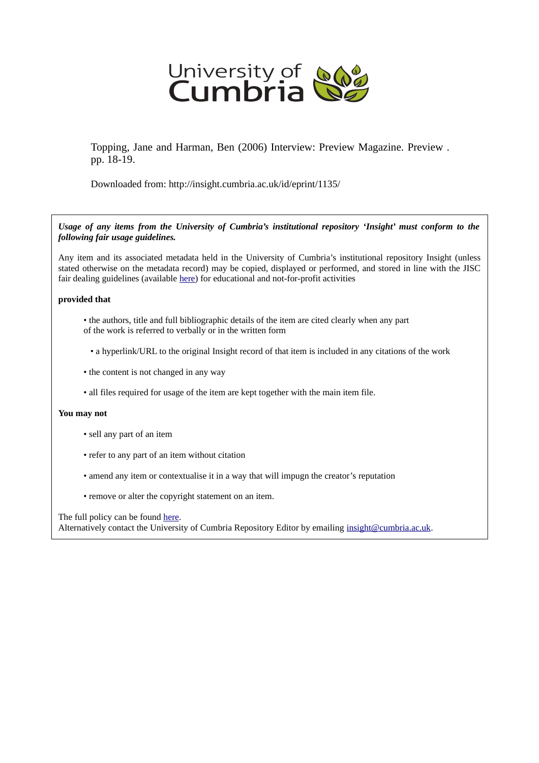

Topping, Jane and Harman, Ben (2006) Interview: Preview Magazine. Preview . pp. 18-19.

Downloaded from: http://insight.cumbria.ac.uk/id/eprint/1135/

*Usage of any items from the University of Cumbria's institutional repository 'Insight' must conform to the following fair usage guidelines.*

Any item and its associated metadata held in the University of Cumbria's institutional repository Insight (unless stated otherwise on the metadata record) may be copied, displayed or performed, and stored in line with the JISC fair dealing guidelines (available [here\)](http://www.ukoln.ac.uk/services/elib/papers/pa/fair/) for educational and not-for-profit activities

#### **provided that**

- the authors, title and full bibliographic details of the item are cited clearly when any part of the work is referred to verbally or in the written form
	- a hyperlink/URL to the original Insight record of that item is included in any citations of the work
- the content is not changed in any way
- all files required for usage of the item are kept together with the main item file.

#### **You may not**

- sell any part of an item
- refer to any part of an item without citation
- amend any item or contextualise it in a way that will impugn the creator's reputation
- remove or alter the copyright statement on an item.

The full policy can be found [here.](http://insight.cumbria.ac.uk/legal.html#section5)

Alternatively contact the University of Cumbria Repository Editor by emailing [insight@cumbria.ac.uk.](mailto:insight@cumbria.ac.uk)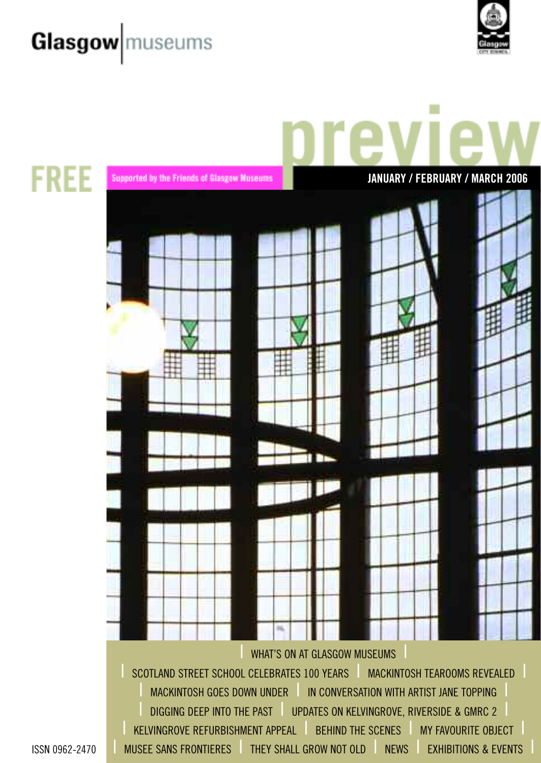# **Glasgow** museums





Supported by the Friends of Glasgow Museums **JANUARY / FEBRUARY / MARCH 2006** WHAT'S ON AT GLASGOW MUSEUMS **ISCOTLAND STREET SCHOOL CELEBRATES 100 YEARS | MACKINTOSH TEAROOMS REVEALED MACKINTOSH GOES DOWN UNDER IN CONVERSATION WITH ARTIST JANE TOPPING** DIGGING DEEP INTO THE PAST | UPDATES ON KELVINGROVE, RIVERSIDE & GMRC 2 KELVINGROVE REFURBISHMENT APPEAL FREHIND THE SCENES THAT FAVOURITE OBJECT MUSEE SANS FRONTIERES THEY SHALL GROW NOT OLD THEWS THE EXHIBITIONS & EVENTS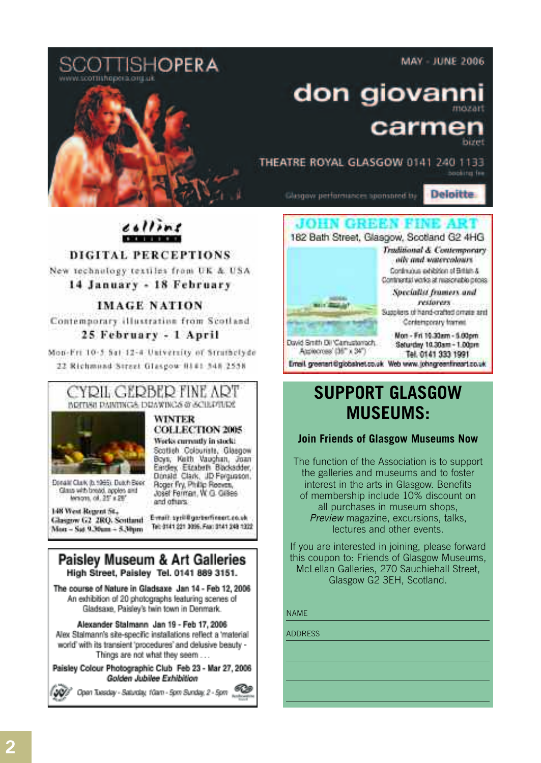**MAY - JUNE 2006** 



# don giovan carme

THEATRE ROYAL GLASGOW 0141 240 1133 booking fee

Glasgow performances sponsored by

**Deloitte** 



### **SUPPORT GLASGOW MUSEUMS:**

### **Join Friends of Glasgow Museums Now**

The function of the Association is to support the galleries and museums and to foster interest in the arts in Glasgow. Benefits of membership include 10% discount on all purchases in museum shops, *Preview* magazine, excursions, talks, lectures and other events.

If you are interested in joining, please forward this coupon to: Friends of Glasgow Museums, McLellan Galleries, 270 Sauchiehall Street, Glasgow G2 3EH, Scotland.

#### NAME

ADDRESS

**DIGITAL PERCEPTIONS** New technology textiles from UK & USA

colline

**KROKULTURACIÓN** 

14 January - 18 February

#### **IMAGE NATION**

Contemporary illustration from Scotland 25 February - 1 April

Mon-Eri 10-5 Sat 12-4 University of Struthclyde 22 Richmond Street Glasgow 8141 345 2558



Works currently in stock! Scatteh Colourists, Glasgow Boys, Keith Vaughan, Joan Eardey, Etrabelh Blacksdder,<br>Donald, Clark, JD Fergusson,

Roger Fry, Philip Reeves,

and ofturs.

Josef Ferman, W. G. Gilles



Donald Clurk (b. 1985). Dutch Book Glass with bread, apples and MYHOVIE, OR. 25" x 25"

148 West Report St. Evrait syriffgerterfineer.co.uk Glasgow G2 2RQ. Soutland Tel: 0141 221 3096, Fax: 0141 248 1322 Mon-Sat 9.36am - 5.3hum

#### **Paisley Museum & Art Galleries** High Street, Paisley Tel. 0141 889 3151.

The course of Nature in Gladsaxe Jan 14 - Feb 12, 2006 An exhibition of 20 photographs featuring scenes of Gladsaxe, Paisley's twin town in Denmark.

Alexander Stalmann Jan 19 - Feb 17, 2006 Alex Stalmann's site-specific installations reflect a 'material' world' with its transient 'procedures' and delusive beauty -Things are not what they seem ...

Paisley Colour Photographic Club Feb 23 - Mar 27, 2006 Golden Jubilee Exhibition

Open Tuesday - Salurday, 10am - Spm Sunday, 2 - Spm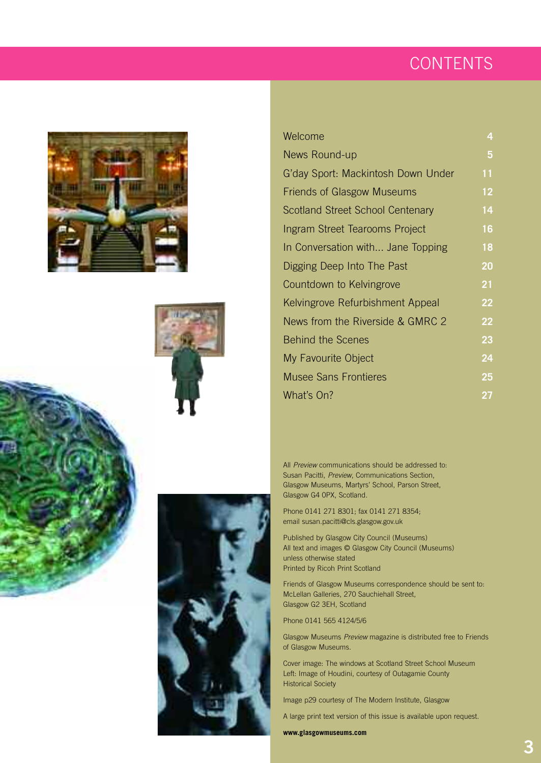### **CONTENTS**









| Welcome                            | 4  |
|------------------------------------|----|
| News Round-up                      | 5  |
| G'day Sport: Mackintosh Down Under | 11 |
| <b>Friends of Glasgow Museums</b>  | 12 |
| Scotland Street School Centenary   | 14 |
| Ingram Street Tearooms Project     | 16 |
| In Conversation with Jane Topping  | 18 |
| Digging Deep Into The Past         | 20 |
| Countdown to Kelvingrove           | 21 |
| Kelvingrove Refurbishment Appeal   | 22 |
| News from the Riverside & GMRC 2   | 22 |
| <b>Behind the Scenes</b>           | 23 |
| My Favourite Object                | 24 |
| <b>Musee Sans Frontieres</b>       | 25 |
| What's On?                         | 27 |
|                                    |    |

All *Preview* communications should be addressed to: Susan Pacitti, *Preview*, Communications Section, Glasgow Museums, Martyrs' School, Parson Street, Glasgow G4 0PX, Scotland.

Phone 0141 271 8301; fax 0141 271 8354; email susan.pacitti@cls.glasgow.gov.uk

Published by Glasgow City Council (Museums) All text and images © Glasgow City Council (Museums) unless otherwise stated Printed by Ricoh Print Scotland

Friends of Glasgow Museums correspondence should be sent to: McLellan Galleries, 270 Sauchiehall Street, Glasgow G2 3EH, Scotland

Phone 0141 565 4124/5/6

Glasgow Museums *Preview* magazine is distributed free to Friends of Glasgow Museums.

Cover image: The windows at Scotland Street School Museum Left: Image of Houdini, courtesy of Outagamie County Historical Society

Image p29 courtesy of The Modern Institute, Glasgow

A large print text version of this issue is available upon request.

**www.glasgowmuseums.com**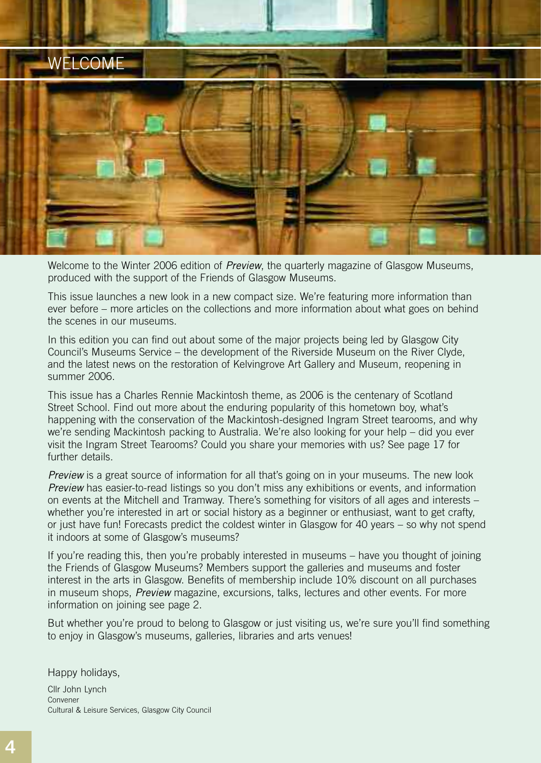### WELCOME



Welcome to the Winter 2006 edition of *Preview*, the quarterly magazine of Glasgow Museums, produced with the support of the Friends of Glasgow Museums.

This issue launches a new look in a new compact size. We're featuring more information than ever before – more articles on the collections and more information about what goes on behind the scenes in our museums.

In this edition you can find out about some of the major projects being led by Glasgow City Council's Museums Service – the development of the Riverside Museum on the River Clyde, and the latest news on the restoration of Kelvingrove Art Gallery and Museum, reopening in summer 2006.

This issue has a Charles Rennie Mackintosh theme, as 2006 is the centenary of Scotland Street School. Find out more about the enduring popularity of this hometown boy, what's happening with the conservation of the Mackintosh-designed Ingram Street tearooms, and why we're sending Mackintosh packing to Australia. We're also looking for your help – did you ever visit the Ingram Street Tearooms? Could you share your memories with us? See page 17 for further details.

*Preview* is a great source of information for all that's going on in your museums. The new look *Preview* has easier-to-read listings so you don't miss any exhibitions or events, and information on events at the Mitchell and Tramway. There's something for visitors of all ages and interests – whether you're interested in art or social history as a beginner or enthusiast, want to get crafty, or just have fun! Forecasts predict the coldest winter in Glasgow for 40 years – so why not spend it indoors at some of Glasgow's museums?

If you're reading this, then you're probably interested in museums – have you thought of joining the Friends of Glasgow Museums? Members support the galleries and museums and foster interest in the arts in Glasgow. Benefits of membership include 10% discount on all purchases in museum shops, *Preview* magazine, excursions, talks, lectures and other events. For more information on joining see page 2.

But whether you're proud to belong to Glasgow or just visiting us, we're sure you'll find something to enjoy in Glasgow's museums, galleries, libraries and arts venues!

Happy holidays,

Cllr John Lynch Convener Cultural & Leisure Services, Glasgow City Council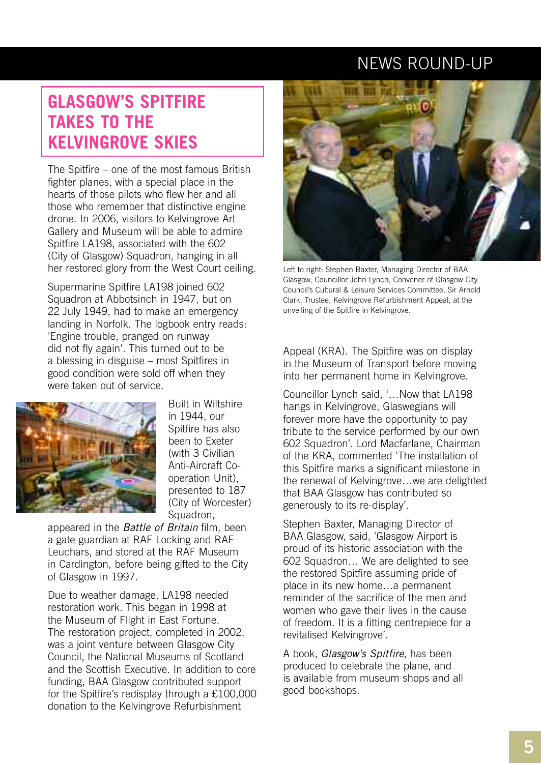### **GLASGOW'S SPITFIRE TAKES TO THE KELVINGROVE SKIES**

The Spitfire – one of the most famous British fighter planes, with a special place in the hearts of those pilots who flew her and all those who remember that distinctive engine drone. In 2006, visitors to Kelvingrove Art Gallery and Museum will be able to admire Spitfire LA198, associated with the 602 (City of Glasgow) Squadron, hanging in all her restored glory from the West Court ceiling.

Supermarine Spitfire LA198 joined 602 Squadron at Abbotsinch in 1947, but on 22 July 1949, had to make an emergency landing in Norfolk. The logbook entry reads: 'Engine trouble, pranged on runway – did not fly again'. This turned out to be a blessing in disguise – most Spitfires in good condition were sold off when they were taken out of service.



Built in Wiltshire in 1944, our Spitfire has also been to Exeter (with 3 Civilian Anti-Aircraft Cooperation Unit), presented to 187 (City of Worcester) Squadron,

appeared in the *Battle of Britain* film, been a gate guardian at RAF Locking and RAF Leuchars, and stored at the RAF Museum in Cardington, before being gifted to the City of Glasgow in 1997.

Due to weather damage, LA198 needed restoration work. This began in 1998 at the Museum of Flight in East Fortune. The restoration project, completed in 2002, was a joint venture between Glasgow City Council, the National Museums of Scotland and the Scottish Executive. In addition to core funding, BAA Glasgow contributed support for the Spitfire's redisplay through a £100,000 donation to the Kelvingrove Refurbishment



Left to right: Stephen Baxter, Managing Director of BAA Glasgow, Councillor John Lynch, Convener of Glasgow City Council's Cultural & Leisure Services Committee, Sir Arnold Clark, Trustee, Kelvingrove Refurbishment Appeal, at the unveiling of the Spitfire in Kelvingrove.

Appeal (KRA). The Spitfire was on display in the Museum of Transport before moving into her permanent home in Kelvingrove.

Councillor Lynch said, '…Now that LA198 hangs in Kelvingrove, Glaswegians will forever more have the opportunity to pay tribute to the service performed by our own 602 Squadron'. Lord Macfarlane, Chairman of the KRA, commented 'The installation of this Spitfire marks a significant milestone in the renewal of Kelvingrove…we are delighted that BAA Glasgow has contributed so generously to its re-display'.

Stephen Baxter, Managing Director of BAA Glasgow, said, 'Glasgow Airport is proud of its historic association with the 602 Squadron… We are delighted to see the restored Spitfire assuming pride of place in its new home…a permanent reminder of the sacrifice of the men and women who gave their lives in the cause of freedom. It is a fitting centrepiece for a revitalised Kelvingrove'.

A book, *Glasgow's Spitfire*, has been produced to celebrate the plane, and is available from museum shops and all good bookshops.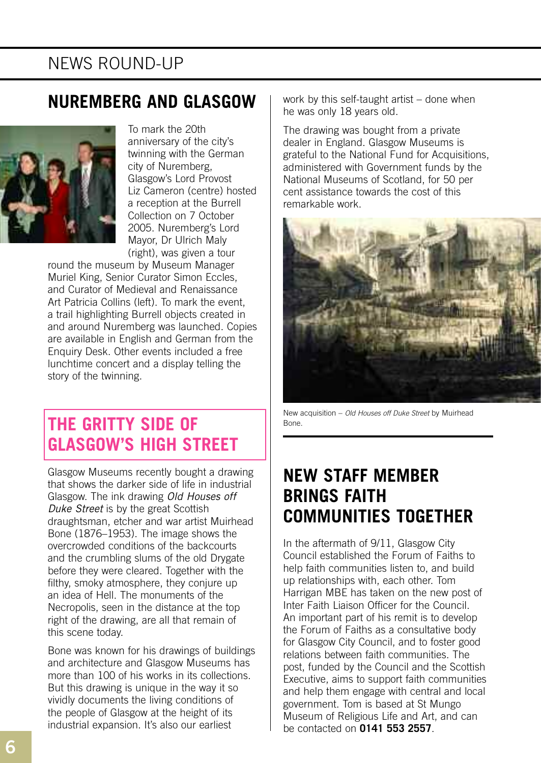### **NUREMBERG AND GLASGOW**



To mark the 20th anniversary of the city's twinning with the German city of Nuremberg, Glasgow's Lord Provost Liz Cameron (centre) hosted a reception at the Burrell Collection on 7 October 2005. Nuremberg's Lord Mayor, Dr Ulrich Maly (right), was given a tour

round the museum by Museum Manager Muriel King, Senior Curator Simon Eccles, and Curator of Medieval and Renaissance Art Patricia Collins (left). To mark the event, a trail highlighting Burrell objects created in and around Nuremberg was launched. Copies are available in English and German from the Enquiry Desk. Other events included a free lunchtime concert and a display telling the story of the twinning.

### **THE GRITTY SIDE OF GLASGOW'S HIGH STREET**

Glasgow Museums recently bought a drawing that shows the darker side of life in industrial Glasgow. The ink drawing *Old Houses off Duke Street* is by the great Scottish draughtsman, etcher and war artist Muirhead Bone (1876–1953). The image shows the overcrowded conditions of the backcourts and the crumbling slums of the old Drygate before they were cleared. Together with the filthy, smoky atmosphere, they conjure up an idea of Hell. The monuments of the Necropolis, seen in the distance at the top right of the drawing, are all that remain of this scene today.

Bone was known for his drawings of buildings and architecture and Glasgow Museums has more than 100 of his works in its collections. But this drawing is unique in the way it so vividly documents the living conditions of the people of Glasgow at the height of its industrial expansion. It's also our earliest

work by this self-taught artist – done when he was only 18 years old.

The drawing was bought from a private dealer in England. Glasgow Museums is grateful to the National Fund for Acquisitions, administered with Government funds by the National Museums of Scotland, for 50 per cent assistance towards the cost of this remarkable work.



New acquisition – *Old Houses off Duke Street* by Muirhead Bone.

### **NEW STAFF MEMBER BRINGS FAITH COMMUNITIES TOGETHER**

In the aftermath of 9/11, Glasgow City Council established the Forum of Faiths to help faith communities listen to, and build up relationships with, each other. Tom Harrigan MBE has taken on the new post of Inter Faith Liaison Officer for the Council. An important part of his remit is to develop the Forum of Faiths as a consultative body for Glasgow City Council, and to foster good relations between faith communities. The post, funded by the Council and the Scottish Executive, aims to support faith communities and help them engage with central and local government. Tom is based at St Mungo Museum of Religious Life and Art, and can be contacted on **0141 553 2557**.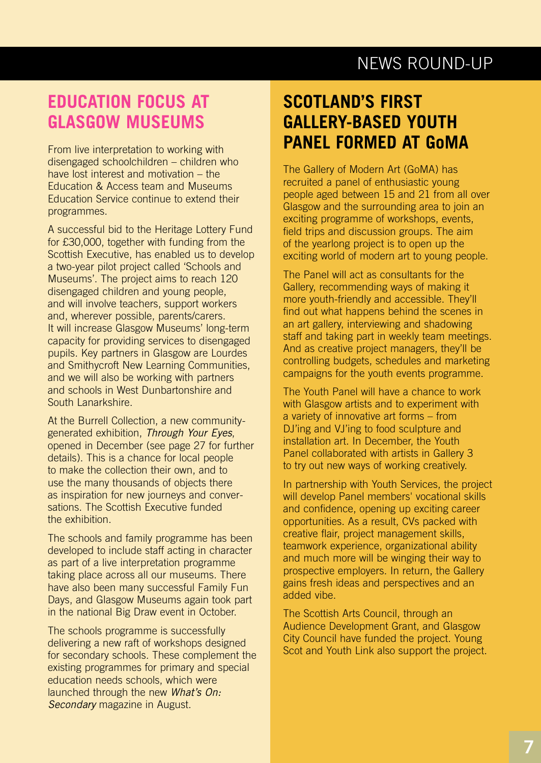### **EDUCATION FOCUS AT GLASGOW MUSEUMS**

From live interpretation to working with disengaged schoolchildren – children who have lost interest and motivation – the Education & Access team and Museums Education Service continue to extend their programmes.

A successful bid to the Heritage Lottery Fund for £30,000, together with funding from the Scottish Executive, has enabled us to develop a two-year pilot project called 'Schools and Museums'. The project aims to reach 120 disengaged children and young people, and will involve teachers, support workers and, wherever possible, parents/carers. It will increase Glasgow Museums' long-term capacity for providing services to disengaged pupils. Key partners in Glasgow are Lourdes and Smithycroft New Learning Communities, and we will also be working with partners and schools in West Dunbartonshire and South Lanarkshire.

At the Burrell Collection, a new communitygenerated exhibition, *Through Your Eyes*, opened in December (see page 27 for further details). This is a chance for local people to make the collection their own, and to use the many thousands of objects there as inspiration for new journeys and conversations. The Scottish Executive funded the exhibition.

The schools and family programme has been developed to include staff acting in character as part of a live interpretation programme taking place across all our museums. There have also been many successful Family Fun Days, and Glasgow Museums again took part in the national Big Draw event in October.

The schools programme is successfully delivering a new raft of workshops designed for secondary schools. These complement the existing programmes for primary and special education needs schools, which were launched through the new *What's On: Secondary* magazine in August.

### **SCOTLAND'S FIRST GALLERY-BASED YOUTH PANEL FORMED AT GoMA**

The Gallery of Modern Art (GoMA) has recruited a panel of enthusiastic young people aged between 15 and 21 from all over Glasgow and the surrounding area to join an exciting programme of workshops, events, field trips and discussion groups. The aim of the yearlong project is to open up the exciting world of modern art to young people.

The Panel will act as consultants for the Gallery, recommending ways of making it more youth-friendly and accessible. They'll find out what happens behind the scenes in an art gallery, interviewing and shadowing staff and taking part in weekly team meetings. And as creative project managers, they'll be controlling budgets, schedules and marketing campaigns for the youth events programme.

The Youth Panel will have a chance to work with Glasgow artists and to experiment with a variety of innovative art forms – from DJ'ing and VJ'ing to food sculpture and installation art. In December, the Youth Panel collaborated with artists in Gallery 3 to try out new ways of working creatively.

In partnership with Youth Services, the project will develop Panel members' vocational skills and confidence, opening up exciting career opportunities. As a result, CVs packed with creative flair, project management skills, teamwork experience, organizational ability and much more will be winging their way to prospective employers. In return, the Gallery gains fresh ideas and perspectives and an added vibe.

The Scottish Arts Council, through an Audience Development Grant, and Glasgow City Council have funded the project. Young Scot and Youth Link also support the project.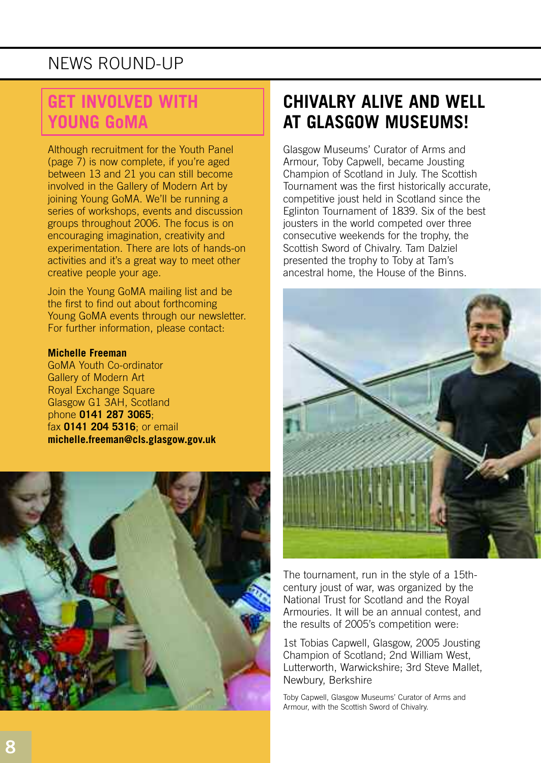### **GET INVOLVED WITH YOUNG GoMA**

Although recruitment for the Youth Panel (page 7) is now complete, if you're aged between 13 and 21 you can still become involved in the Gallery of Modern Art by joining Young GoMA. We'll be running a series of workshops, events and discussion groups throughout 2006. The focus is on encouraging imagination, creativity and experimentation. There are lots of hands-on activities and it's a great way to meet other creative people your age.

Join the Young GoMA mailing list and be the first to find out about forthcoming Young GoMA events through our newsletter. For further information, please contact:

#### **Michelle Freeman**

GoMA Youth Co-ordinator Gallery of Modern Art Royal Exchange Square Glasgow G1 3AH, Scotland phone **0141 287 3065**; fax **0141 204 5316**; or email **michelle.freeman@cls.glasgow.gov.uk** 



### **CHIVALRY ALIVE AND WELL AT GLASGOW MUSEUMS!**

Glasgow Museums' Curator of Arms and Armour, Toby Capwell, became Jousting Champion of Scotland in July. The Scottish Tournament was the first historically accurate, competitive joust held in Scotland since the Eglinton Tournament of 1839. Six of the best jousters in the world competed over three consecutive weekends for the trophy, the Scottish Sword of Chivalry. Tam Dalziel presented the trophy to Toby at Tam's ancestral home, the House of the Binns.



The tournament, run in the style of a 15thcentury joust of war, was organized by the National Trust for Scotland and the Royal Armouries. It will be an annual contest, and the results of 2005's competition were:

1st Tobias Capwell, Glasgow, 2005 Jousting Champion of Scotland; 2nd William West, Lutterworth, Warwickshire; 3rd Steve Mallet, Newbury, Berkshire

Toby Capwell, Glasgow Museums' Curator of Arms and Armour, with the Scottish Sword of Chivalry.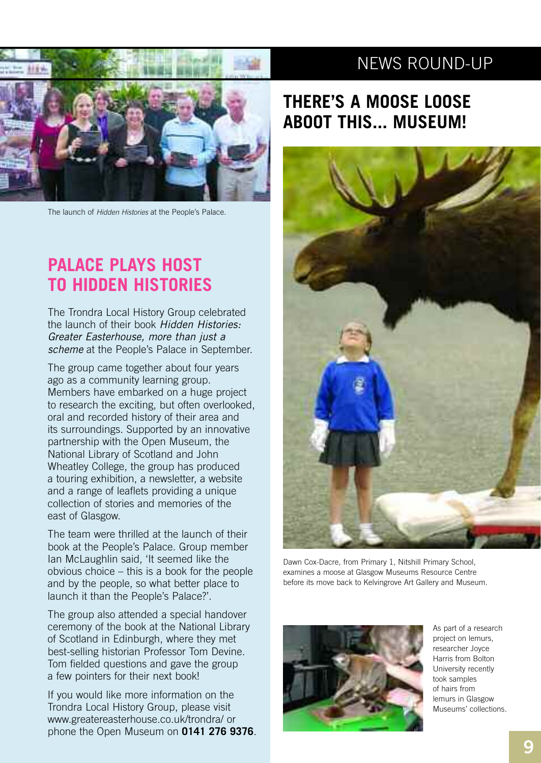

The launch of *Hidden Histories* at the People's Palace.

### **PALACE PLAYS HOST TO HIDDEN HISTORIES**

The Trondra Local History Group celebrated the launch of their book *Hidden Histories: Greater Easterhouse, more than just a scheme* at the People's Palace in September.

The group came together about four years ago as a community learning group. Members have embarked on a huge project to research the exciting, but often overlooked, oral and recorded history of their area and its surroundings. Supported by an innovative partnership with the Open Museum, the National Library of Scotland and John Wheatley College, the group has produced a touring exhibition, a newsletter, a website and a range of leaflets providing a unique collection of stories and memories of the east of Glasgow.

The team were thrilled at the launch of their book at the People's Palace. Group member Ian McLaughlin said, 'It seemed like the obvious choice – this is a book for the people and by the people, so what better place to launch it than the People's Palace?'.

The group also attended a special handover ceremony of the book at the National Library of Scotland in Edinburgh, where they met best-selling historian Professor Tom Devine. Tom fielded questions and gave the group a few pointers for their next book!

If you would like more information on the Trondra Local History Group, please visit www.greatereasterhouse.co.uk/trondra/ or phone the Open Museum on **0141 276 9376**.

### **THERE'S A MOOSE LOOSE ABOOT THIS... MUSEUM!**



Dawn Cox-Dacre, from Primary 1, Nitshill Primary School, examines a moose at Glasgow Museums Resource Centre before its move back to Kelvingrove Art Gallery and Museum.



As part of a research project on lemurs, researcher Joyce Harris from Bolton University recently took samples of hairs from lemurs in Glasgow Museums' collections.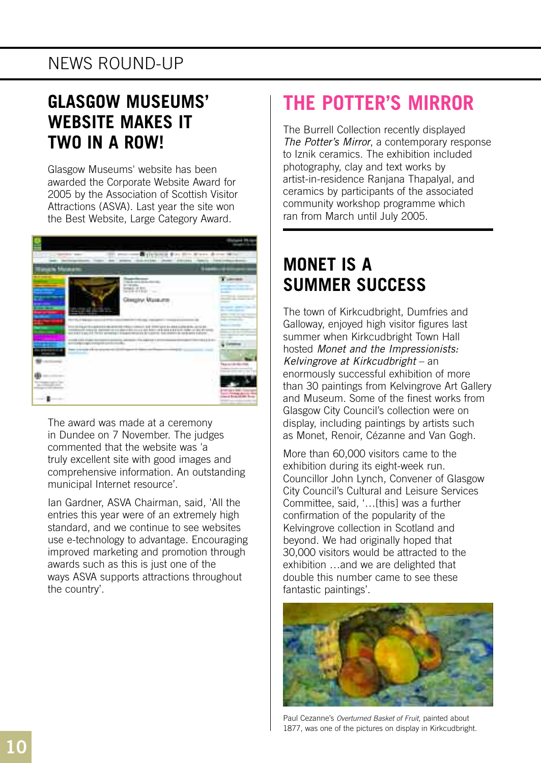### **GLASGOW MUSEUMS' WEBSITE MAKES IT TWO IN A ROW!**

Glasgow Museums' website has been awarded the Corporate Website Award for 2005 by the Association of Scottish Visitor Attractions (ASVA). Last year the site won the Best Website, Large Category Award.



The award was made at a ceremony in Dundee on 7 November. The judges commented that the website was 'a truly excellent site with good images and comprehensive information. An outstanding municipal Internet resource'.

Ian Gardner, ASVA Chairman, said, 'All the entries this year were of an extremely high standard, and we continue to see websites use e-technology to advantage. Encouraging improved marketing and promotion through awards such as this is just one of the ways ASVA supports attractions throughout the country'.

# **THE POTTER'S MIRROR**

The Burrell Collection recently displayed *The Potter's Mirror*, a contemporary response to Iznik ceramics. The exhibition included photography, clay and text works by artist-in-residence Ranjana Thapalyal, and ceramics by participants of the associated community workshop programme which ran from March until July 2005.

### **MONET IS A SUMMER SUCCESS**

The town of Kirkcudbright, Dumfries and Galloway, enjoyed high visitor figures last summer when Kirkcudbright Town Hall hosted *Monet and the Impressionists: Kelvingrove at Kirkcudbright* – an enormously successful exhibition of more than 30 paintings from Kelvingrove Art Gallery and Museum. Some of the finest works from Glasgow City Council's collection were on display, including paintings by artists such as Monet, Renoir, Cézanne and Van Gogh.

More than 60,000 visitors came to the exhibition during its eight-week run. Councillor John Lynch, Convener of Glasgow City Council's Cultural and Leisure Services Committee, said, '…[this] was a further confirmation of the popularity of the Kelvingrove collection in Scotland and beyond. We had originally hoped that 30,000 visitors would be attracted to the exhibition …and we are delighted that double this number came to see these fantastic paintings'.



Paul Cezanne's *Overturned Basket of Fruit*, painted about 1877, was one of the pictures on display in Kirkcudbright.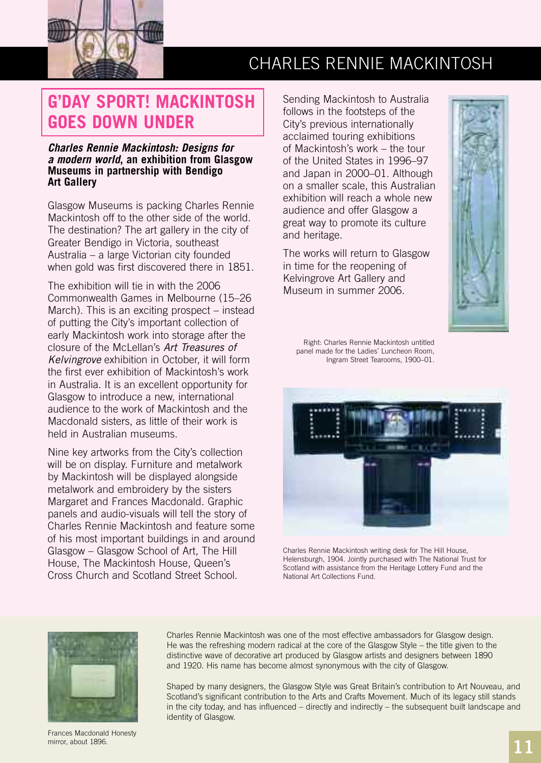

# CHARLES RENNIE MACKINTOSH

### **G'DAY SPORT! MACKINTOSH GOES DOWN UNDER**

#### *Charles Rennie Mackintosh: Designs for a modern world***, an exhibition from Glasgow Museums in partnership with Bendigo Art Gallery**

Glasgow Museums is packing Charles Rennie Mackintosh off to the other side of the world. The destination? The art gallery in the city of Greater Bendigo in Victoria, southeast Australia – a large Victorian city founded when gold was first discovered there in 1851.

The exhibition will tie in with the 2006 Commonwealth Games in Melbourne (15–26 March). This is an exciting prospect – instead of putting the City's important collection of early Mackintosh work into storage after the closure of the McLellan's *Art Treasures of Kelvingrove* exhibition in October, it will form the first ever exhibition of Mackintosh's work in Australia. It is an excellent opportunity for Glasgow to introduce a new, international audience to the work of Mackintosh and the Macdonald sisters, as little of their work is held in Australian museums.

Nine key artworks from the City's collection will be on display. Furniture and metalwork by Mackintosh will be displayed alongside metalwork and embroidery by the sisters Margaret and Frances Macdonald. Graphic panels and audio-visuals will tell the story of Charles Rennie Mackintosh and feature some of his most important buildings in and around Glasgow – Glasgow School of Art, The Hill House, The Mackintosh House, Queen's Cross Church and Scotland Street School.

Sending Mackintosh to Australia follows in the footsteps of the City's previous internationally acclaimed touring exhibitions of Mackintosh's work – the tour of the United States in 1996–97 and Japan in 2000–01. Although on a smaller scale, this Australian exhibition will reach a whole new audience and offer Glasgow a great way to promote its culture and heritage.

The works will return to Glasgow in time for the reopening of Kelvingrove Art Gallery and Museum in summer 2006.



Right: Charles Rennie Mackintosh untitled panel made for the Ladies' Luncheon Room, Ingram Street Tearooms, 1900–01.



Charles Rennie Mackintosh writing desk for The Hill House, Helensburgh, 1904. Jointly purchased with The National Trust for Scotland with assistance from the Heritage Lottery Fund and the National Art Collections Fund.



Frances Macdonald Honesty mirror, about 1896.

Charles Rennie Mackintosh was one of the most effective ambassadors for Glasgow design. He was the refreshing modern radical at the core of the Glasgow Style – the title given to the distinctive wave of decorative art produced by Glasgow artists and designers between 1890 and 1920. His name has become almost synonymous with the city of Glasgow.

Shaped by many designers, the Glasgow Style was Great Britain's contribution to Art Nouveau, and Scotland's significant contribution to the Arts and Crafts Movement. Much of its legacy still stands in the city today, and has influenced – directly and indirectly – the subsequent built landscape and identity of Glasgow.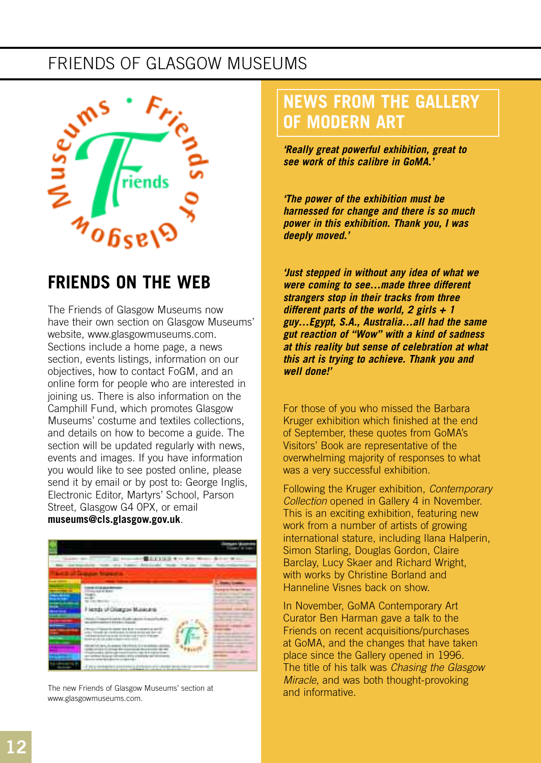### FRIENDS OF GLASGOW MUSEUMS



### **FRIENDS ON THE WEB**

The Friends of Glasgow Museums now have their own section on Glasgow Museums' website, www.glasgowmuseums.com. Sections include a home page, a news section, events listings, information on our objectives, how to contact FoGM, and an online form for people who are interested in joining us. There is also information on the Camphill Fund, which promotes Glasgow Museums' costume and textiles collections, and details on how to become a guide. The section will be updated regularly with news, events and images. If you have information you would like to see posted online, please send it by email or by post to: George Inglis, Electronic Editor, Martyrs' School, Parson Street, Glasgow G4 0PX, or email **museums@cls.glasgow.gov.uk**.





The new Friends of Glasgow Museums' section at www.glasgowmuseums.com.

### **NEWS FROM THE GALLERY OF MODERN ART**

*'Really great powerful exhibition, great to see work of this calibre in GoMA.'*

*'The power of the exhibition must be harnessed for change and there is so much power in this exhibition. Thank you, I was deeply moved.'*

*'Just stepped in without any idea of what we were coming to see…made three different strangers stop in their tracks from three different parts of the world, 2 girls + 1 guy…Egypt, S.A., Australia…all had the same gut reaction of "Wow" with a kind of sadness at this reality but sense of celebration at what this art is trying to achieve. Thank you and well done!'*

For those of you who missed the Barbara Kruger exhibition which finished at the end of September, these quotes from GoMA's Visitors' Book are representative of the overwhelming majority of responses to what was a very successful exhibition.

Following the Kruger exhibition, *Contemporary Collection* opened in Gallery 4 in November. This is an exciting exhibition, featuring new work from a number of artists of growing international stature, including Ilana Halperin, Simon Starling, Douglas Gordon, Claire Barclay, Lucy Skaer and Richard Wright, with works by Christine Borland and Hanneline Visnes back on show.

In November, GoMA Contemporary Art Curator Ben Harman gave a talk to the Friends on recent acquisitions/purchases at GoMA, and the changes that have taken place since the Gallery opened in 1996. The title of his talk was *Chasing the Glasgow Miracle*, and was both thought-provoking and informative.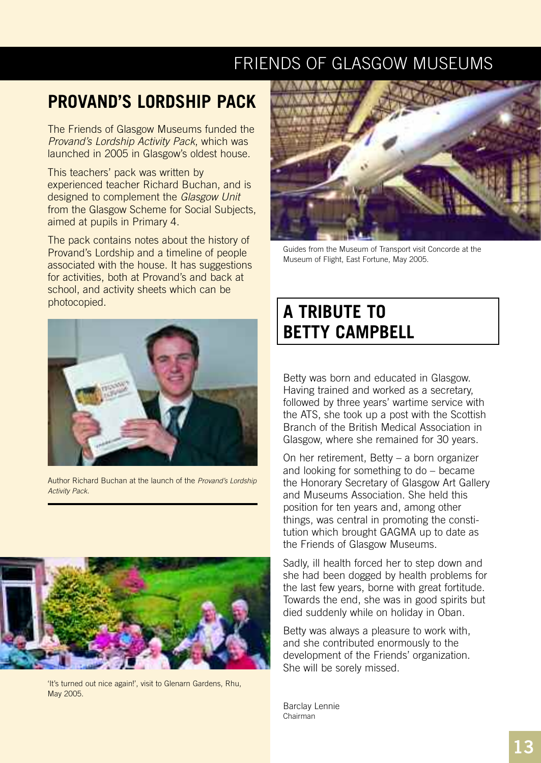### FRIENDS OF GLASGOW MUSEUMS

### **PROVAND'S LORDSHIP PACK**

The Friends of Glasgow Museums funded the *Provand's Lordship Activity Pack*, which was launched in 2005 in Glasgow's oldest house.

This teachers' pack was written by experienced teacher Richard Buchan, and is designed to complement the *Glasgow Unit* from the Glasgow Scheme for Social Subjects, aimed at pupils in Primary 4.

The pack contains notes about the history of Provand's Lordship and a timeline of people associated with the house. It has suggestions for activities, both at Provand's and back at school, and activity sheets which can be photocopied.



Author Richard Buchan at the launch of the *Provand's Lordship Activity Pack*.



'It's turned out nice again!', visit to Glenarn Gardens, Rhu, May 2005.



Guides from the Museum of Transport visit Concorde at the Museum of Flight, East Fortune, May 2005.

### **A TRIBUTE TO BETTY CAMPBELL**

Betty was born and educated in Glasgow. Having trained and worked as a secretary, followed by three years' wartime service with the ATS, she took up a post with the Scottish Branch of the British Medical Association in Glasgow, where she remained for 30 years.

On her retirement, Betty – a born organizer and looking for something to do – became the Honorary Secretary of Glasgow Art Gallery and Museums Association. She held this position for ten years and, among other things, was central in promoting the constitution which brought GAGMA up to date as the Friends of Glasgow Museums.

Sadly, ill health forced her to step down and she had been dogged by health problems for the last few years, borne with great fortitude. Towards the end, she was in good spirits but died suddenly while on holiday in Oban.

Betty was always a pleasure to work with, and she contributed enormously to the development of the Friends' organization. She will be sorely missed.

Barclay Lennie Chairman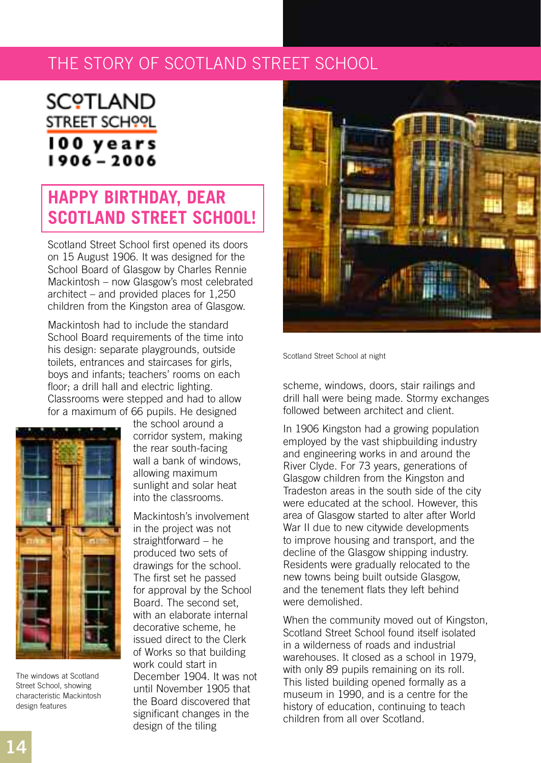### THE STORY OF SCOTLAND STREET SCHOOL

# **SCOTI AND** STREET SCHOOL 100 years<br>1906 - 2006

### **HAPPY BIRTHDAY, DEAR SCOTLAND STREET SCHOOL!**

Scotland Street School first opened its doors on 15 August 1906. It was designed for the School Board of Glasgow by Charles Rennie Mackintosh – now Glasgow's most celebrated architect – and provided places for 1,250 children from the Kingston area of Glasgow.

Mackintosh had to include the standard School Board requirements of the time into his design: separate playgrounds, outside toilets, entrances and staircases for girls, boys and infants; teachers' rooms on each floor; a drill hall and electric lighting. Classrooms were stepped and had to allow for a maximum of 66 pupils. He designed



The windows at Scotland Street School, showing characteristic Mackintosh design features

the school around a corridor system, making the rear south-facing wall a bank of windows, allowing maximum sunlight and solar heat into the classrooms.

Mackintosh's involvement in the project was not straightforward – he produced two sets of drawings for the school. The first set he passed for approval by the School Board. The second set, with an elaborate internal decorative scheme, he issued direct to the Clerk of Works so that building work could start in December 1904. It was not until November 1905 that the Board discovered that significant changes in the design of the tiling



Scotland Street School at night

scheme, windows, doors, stair railings and drill hall were being made. Stormy exchanges followed between architect and client.

In 1906 Kingston had a growing population employed by the vast shipbuilding industry and engineering works in and around the River Clyde. For 73 years, generations of Glasgow children from the Kingston and Tradeston areas in the south side of the city were educated at the school. However, this area of Glasgow started to alter after World War II due to new citywide developments to improve housing and transport, and the decline of the Glasgow shipping industry. Residents were gradually relocated to the new towns being built outside Glasgow, and the tenement flats they left behind were demolished.

When the community moved out of Kingston, Scotland Street School found itself isolated in a wilderness of roads and industrial warehouses. It closed as a school in 1979, with only 89 pupils remaining on its roll. This listed building opened formally as a museum in 1990, and is a centre for the history of education, continuing to teach children from all over Scotland.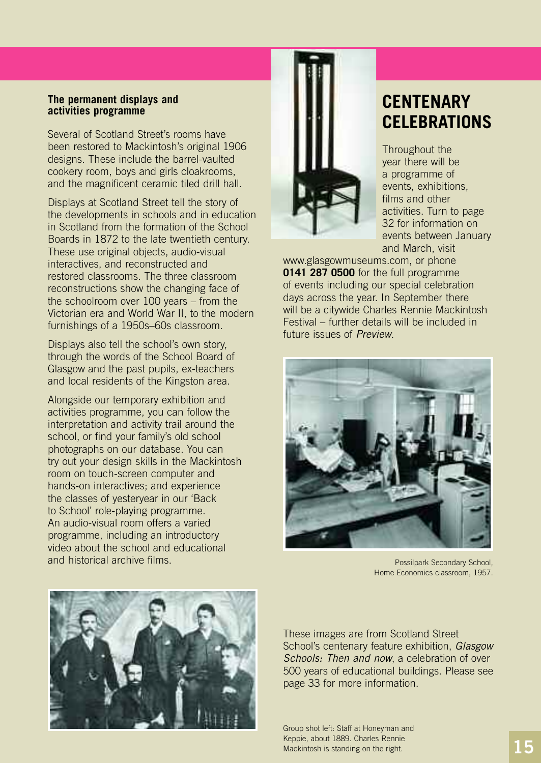#### **The permanent displays and activities programme**

Several of Scotland Street's rooms have been restored to Mackintosh's original 1906 designs. These include the barrel-vaulted cookery room, boys and girls cloakrooms, and the magnificent ceramic tiled drill hall.

Displays at Scotland Street tell the story of the developments in schools and in education in Scotland from the formation of the School Boards in 1872 to the late twentieth century. These use original objects, audio-visual interactives, and reconstructed and restored classrooms. The three classroom reconstructions show the changing face of the schoolroom over 100 years – from the Victorian era and World War II, to the modern furnishings of a 1950s–60s classroom.

Displays also tell the school's own story, through the words of the School Board of Glasgow and the past pupils, ex-teachers and local residents of the Kingston area.

Alongside our temporary exhibition and activities programme, you can follow the interpretation and activity trail around the school, or find your family's old school photographs on our database. You can try out your design skills in the Mackintosh room on touch-screen computer and hands-on interactives; and experience the classes of yesteryear in our 'Back to School' role-playing programme. An audio-visual room offers a varied programme, including an introductory video about the school and educational and historical archive films.



### **CENTENARY CELEBRATIONS**

Throughout the year there will be a programme of events, exhibitions, films and other activities. Turn to page 32 for information on events between January and March, visit

www.glasgowmuseums.com, or phone **0141 287 0500** for the full programme of events including our special celebration days across the year. In September there will be a citywide Charles Rennie Mackintosh Festival – further details will be included in future issues of *Preview*.



Possilpark Secondary School, Home Economics classroom, 1957.



These images are from Scotland Street School's centenary feature exhibition, *Glasgow Schools: Then and now*, a celebration of over 500 years of educational buildings. Please see page 33 for more information.

Group shot left: Staff at Honeyman and Keppie, about 1889. Charles Rennie Mackintosh is standing on the right.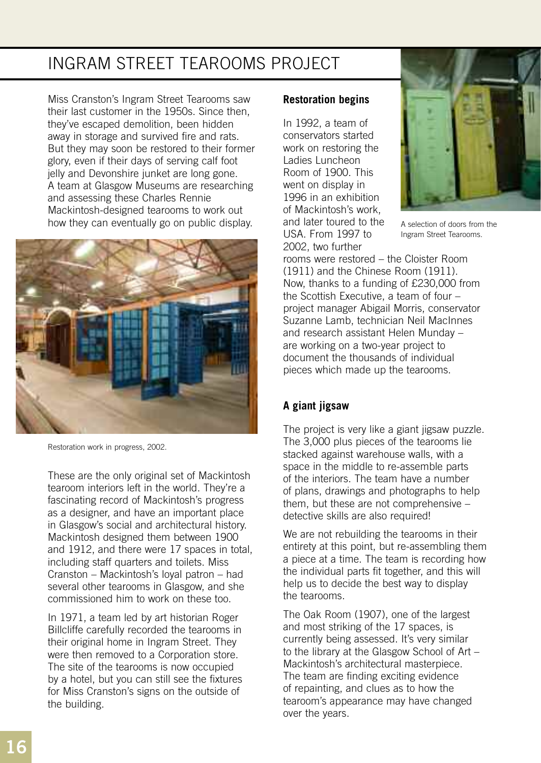### INGRAM STREET TEAROOMS PROJECT

Miss Cranston's Ingram Street Tearooms saw their last customer in the 1950s. Since then, they've escaped demolition, been hidden away in storage and survived fire and rats. But they may soon be restored to their former glory, even if their days of serving calf foot jelly and Devonshire junket are long gone. A team at Glasgow Museums are researching and assessing these Charles Rennie Mackintosh-designed tearooms to work out how they can eventually go on public display.



Restoration work in progress, 2002.

These are the only original set of Mackintosh tearoom interiors left in the world. They're a fascinating record of Mackintosh's progress as a designer, and have an important place in Glasgow's social and architectural history. Mackintosh designed them between 1900 and 1912, and there were 17 spaces in total, including staff quarters and toilets. Miss Cranston – Mackintosh's loyal patron – had several other tearooms in Glasgow, and she commissioned him to work on these too.

In 1971, a team led by art historian Roger Billcliffe carefully recorded the tearooms in their original home in Ingram Street. They were then removed to a Corporation store. The site of the tearooms is now occupied by a hotel, but you can still see the fixtures for Miss Cranston's signs on the outside of the building.

#### **Restoration begins**

In 1992, a team of conservators started work on restoring the Ladies Luncheon Room of 1900. This went on display in 1996 in an exhibition of Mackintosh's work, and later toured to the USA. From 1997 to 2002, two further



A selection of doors from the Ingram Street Tearooms.

rooms were restored – the Cloister Room (1911) and the Chinese Room (1911). Now, thanks to a funding of £230,000 from the Scottish Executive, a team of four – project manager Abigail Morris, conservator Suzanne Lamb, technician Neil MacInnes and research assistant Helen Munday – are working on a two-year project to document the thousands of individual pieces which made up the tearooms.

### **A giant jigsaw**

The project is very like a giant jigsaw puzzle. The 3,000 plus pieces of the tearooms lie stacked against warehouse walls, with a space in the middle to re-assemble parts of the interiors. The team have a number of plans, drawings and photographs to help them, but these are not comprehensive – detective skills are also required!

We are not rebuilding the tearooms in their entirety at this point, but re-assembling them a piece at a time. The team is recording how the individual parts fit together, and this will help us to decide the best way to display the tearooms.

The Oak Room (1907), one of the largest and most striking of the 17 spaces, is currently being assessed. It's very similar to the library at the Glasgow School of Art – Mackintosh's architectural masterpiece. The team are finding exciting evidence of repainting, and clues as to how the tearoom's appearance may have changed over the years.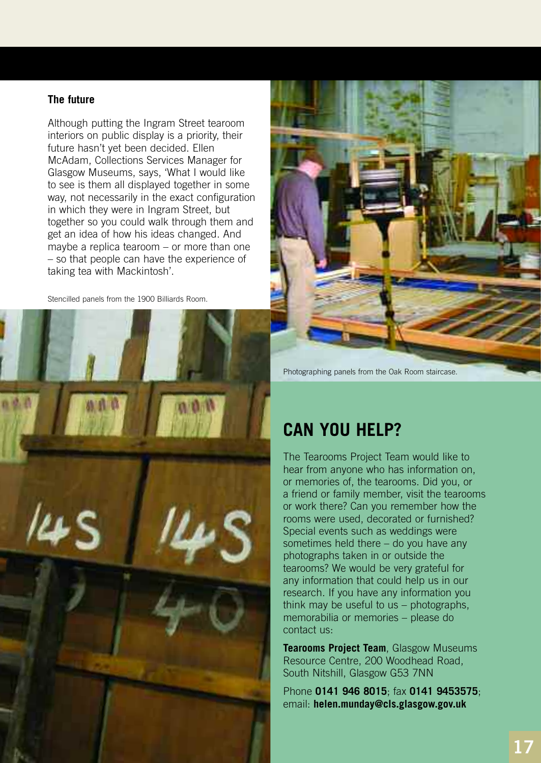#### **The future**

Although putting the Ingram Street tearoom interiors on public display is a priority, their future hasn't yet been decided. Ellen McAdam, Collections Services Manager for Glasgow Museums, says, 'What I would like to see is them all displayed together in some way, not necessarily in the exact configuration in which they were in Ingram Street, but together so you could walk through them and get an idea of how his ideas changed. And maybe a replica tearoom – or more than one – so that people can have the experience of taking tea with Mackintosh'.

Stencilled panels from the 1900 Billiards Room.





Photographing panels from the Oak Room staircase.

### **CAN YOU HELP?**

The Tearooms Project Team would like to hear from anyone who has information on, or memories of, the tearooms. Did you, or a friend or family member, visit the tearooms or work there? Can you remember how the rooms were used, decorated or furnished? Special events such as weddings were sometimes held there – do you have any photographs taken in or outside the tearooms? We would be very grateful for any information that could help us in our research. If you have any information you think may be useful to us – photographs, memorabilia or memories – please do contact us:

**Tearooms Project Team**, Glasgow Museums Resource Centre, 200 Woodhead Road, South Nitshill, Glasgow G53 7NN

Phone **0141 946 8015**; fax **0141 9453575**; email: **helen.munday@cls.glasgow.gov.uk**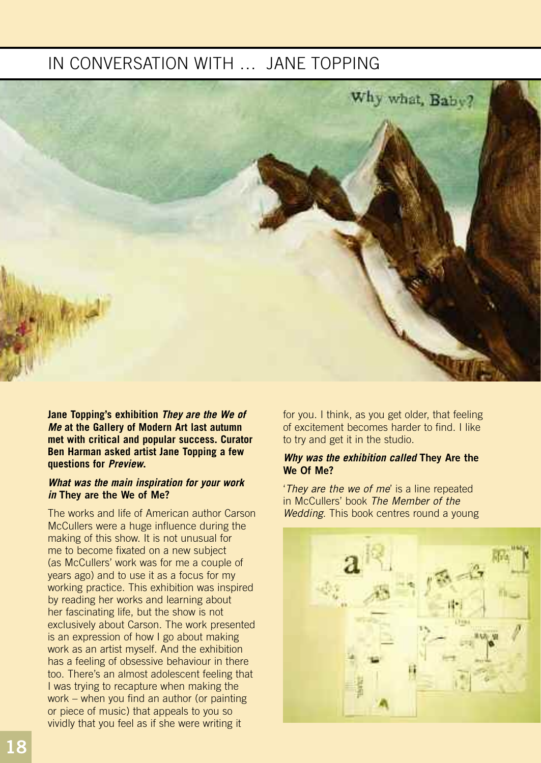### IN CONVERSATION WITH … JANE TOPPING



**Jane Topping's exhibition** *They are the We of Me* **at the Gallery of Modern Art last autumn met with critical and popular success. Curator Ben Harman asked artist Jane Topping a few questions for** *Preview***.**

#### *What was the main inspiration for your work in* **They are the We of Me?**

The works and life of American author Carson McCullers were a huge influence during the making of this show. It is not unusual for me to become fixated on a new subject (as McCullers' work was for me a couple of years ago) and to use it as a focus for my working practice. This exhibition was inspired by reading her works and learning about her fascinating life, but the show is not exclusively about Carson. The work presented is an expression of how I go about making work as an artist myself. And the exhibition has a feeling of obsessive behaviour in there too. There's an almost adolescent feeling that I was trying to recapture when making the work – when you find an author (or painting or piece of music) that appeals to you so vividly that you feel as if she were writing it

for you. I think, as you get older, that feeling of excitement becomes harder to find. I like to try and get it in the studio.

#### *Why was the exhibition called* **They Are the We Of Me?**

'*They are the we of me*' is a line repeated in McCullers' book *The Member of the Wedding*. This book centres round a young

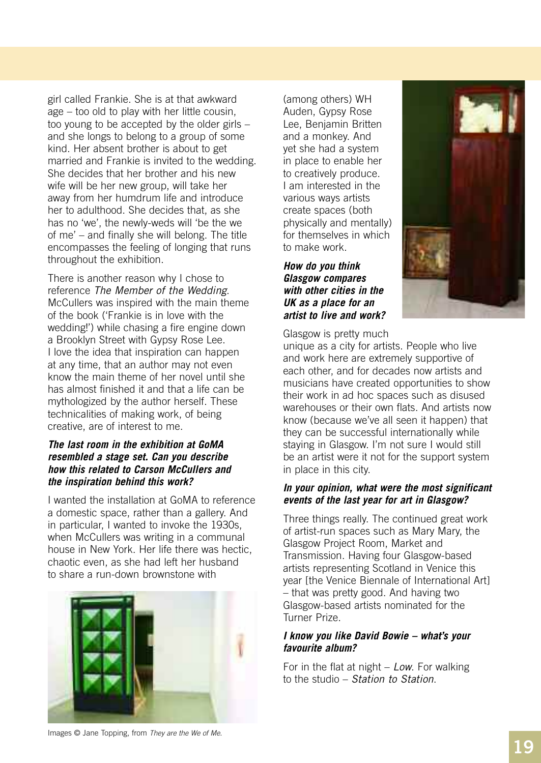girl called Frankie. She is at that awkward age – too old to play with her little cousin, too young to be accepted by the older girls – and she longs to belong to a group of some kind. Her absent brother is about to get married and Frankie is invited to the wedding. She decides that her brother and his new wife will be her new group, will take her away from her humdrum life and introduce her to adulthood. She decides that, as she has no 'we', the newly-weds will 'be the we of me' – and finally she will belong. The title encompasses the feeling of longing that runs throughout the exhibition.

There is another reason why I chose to reference *The Member of the Wedding*. McCullers was inspired with the main theme of the book ('Frankie is in love with the wedding!') while chasing a fire engine down a Brooklyn Street with Gypsy Rose Lee. I love the idea that inspiration can happen at any time, that an author may not even know the main theme of her novel until she has almost finished it and that a life can be mythologized by the author herself. These technicalities of making work, of being creative, are of interest to me.

#### *The last room in the exhibition at GoMA resembled a stage set. Can you describe how this related to Carson McCullers and the inspiration behind this work?*

I wanted the installation at GoMA to reference a domestic space, rather than a gallery. And in particular, I wanted to invoke the 1930s, when McCullers was writing in a communal house in New York. Her life there was hectic, chaotic even, as she had left her husband to share a run-down brownstone with



(among others) WH Auden, Gypsy Rose Lee, Benjamin Britten and a monkey. And yet she had a system in place to enable her to creatively produce. I am interested in the various ways artists create spaces (both physically and mentally) for themselves in which to make work.

*How do you think Glasgow compares with other cities in the UK as a place for an artist to live and work?* 



Glasgow is pretty much

unique as a city for artists. People who live and work here are extremely supportive of each other, and for decades now artists and musicians have created opportunities to show their work in ad hoc spaces such as disused warehouses or their own flats. And artists now know (because we've all seen it happen) that they can be successful internationally while staying in Glasgow. I'm not sure I would still be an artist were it not for the support system in place in this city.

#### *In your opinion, what were the most significant events of the last year for art in Glasgow?*

Three things really. The continued great work of artist-run spaces such as Mary Mary, the Glasgow Project Room, Market and Transmission. Having four Glasgow-based artists representing Scotland in Venice this year [the Venice Biennale of International Art] – that was pretty good. And having two Glasgow-based artists nominated for the Turner Prize.

#### *I know you like David Bowie – what's your favourite album?*

For in the flat at night – *Low*. For walking to the studio – *Station to Station*.

Images © Jane Topping, from *They are the We of Me*.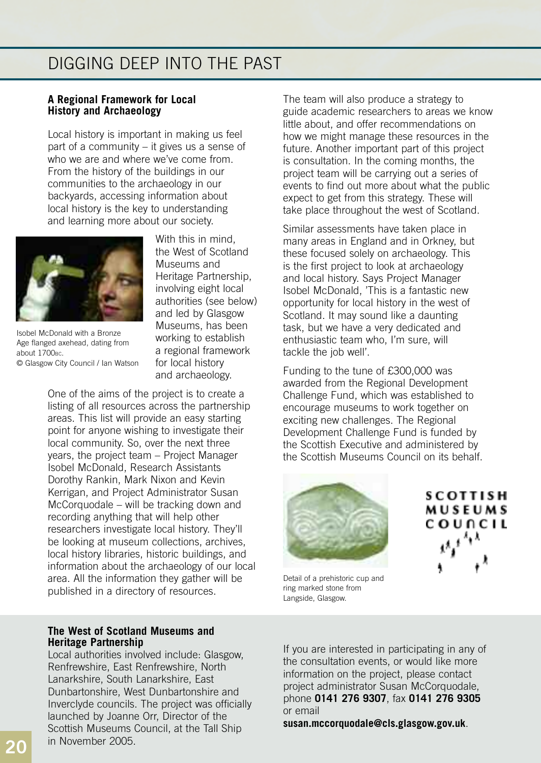### DIGGING DEEP INTO THE PAST

#### **A Regional Framework for Local History and Archaeology**

Local history is important in making us feel part of a community – it gives us a sense of who we are and where we've come from. From the history of the buildings in our communities to the archaeology in our backyards, accessing information about local history is the key to understanding and learning more about our society.



Isobel McDonald with a Bronze Age flanged axehead, dating from about 1700<sub>BC</sub>. © Glasgow City Council / Ian Watson

With this in mind, the West of Scotland Museums and Heritage Partnership, involving eight local authorities (see below) and led by Glasgow Museums, has been working to establish a regional framework for local history and archaeology.

One of the aims of the project is to create a listing of all resources across the partnership areas. This list will provide an easy starting point for anyone wishing to investigate their local community. So, over the next three years, the project team – Project Manager Isobel McDonald, Research Assistants Dorothy Rankin, Mark Nixon and Kevin Kerrigan, and Project Administrator Susan McCorquodale – will be tracking down and recording anything that will help other researchers investigate local history. They'll be looking at museum collections, archives, local history libraries, historic buildings, and information about the archaeology of our local area. All the information they gather will be published in a directory of resources.

#### **The West of Scotland Museums and Heritage Partnership**

Local authorities involved include: Glasgow, Renfrewshire, East Renfrewshire, North Lanarkshire, South Lanarkshire, East Dunbartonshire, West Dunbartonshire and Inverclyde councils. The project was officially launched by Joanne Orr, Director of the Scottish Museums Council, at the Tall Ship in November 2005.

The team will also produce a strategy to guide academic researchers to areas we know little about, and offer recommendations on how we might manage these resources in the future. Another important part of this project is consultation. In the coming months, the project team will be carrying out a series of events to find out more about what the public expect to get from this strategy. These will take place throughout the west of Scotland.

Similar assessments have taken place in many areas in England and in Orkney, but these focused solely on archaeology. This is the first project to look at archaeology and local history. Says Project Manager Isobel McDonald, 'This is a fantastic new opportunity for local history in the west of Scotland. It may sound like a daunting task, but we have a very dedicated and enthusiastic team who, I'm sure, will tackle the job well'.

Funding to the tune of £300,000 was awarded from the Regional Development Challenge Fund, which was established to encourage museums to work together on exciting new challenges. The Regional Development Challenge Fund is funded by the Scottish Executive and administered by the Scottish Museums Council on its behalf.



**SCOTTISH MUSEUMS COUNCIL** 

Detail of a prehistoric cup and ring marked stone from Langside, Glasgow.

If you are interested in participating in any of the consultation events, or would like more information on the project, please contact project administrator Susan McCorquodale, phone **0141 276 9307**, fax **0141 276 9305** or email

**susan.mccorquodale@cls.glasgow.gov.uk**.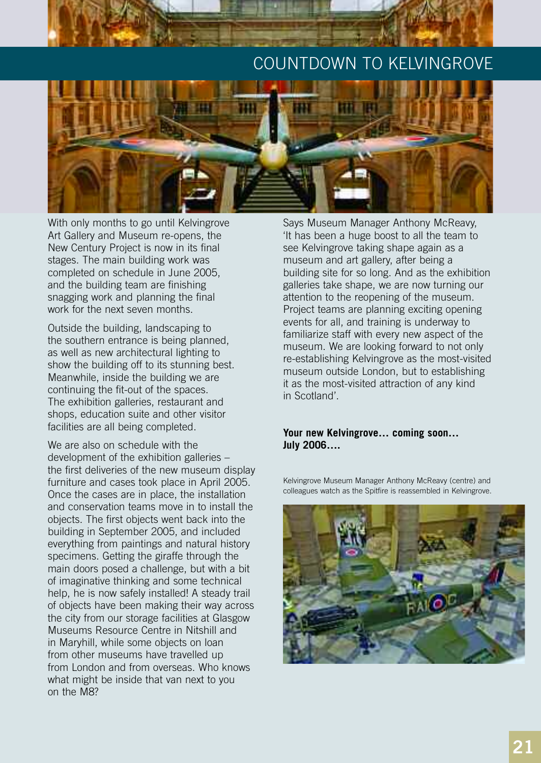### COUNTDOWN TO KELVINGROVE



With only months to go until Kelvingrove Art Gallery and Museum re-opens, the New Century Project is now in its final stages. The main building work was completed on schedule in June 2005, and the building team are finishing snagging work and planning the final work for the next seven months.

Outside the building, landscaping to the southern entrance is being planned, as well as new architectural lighting to show the building off to its stunning best. Meanwhile, inside the building we are continuing the fit-out of the spaces. The exhibition galleries, restaurant and shops, education suite and other visitor facilities are all being completed.

We are also on schedule with the development of the exhibition galleries – the first deliveries of the new museum display furniture and cases took place in April 2005. Once the cases are in place, the installation and conservation teams move in to install the objects. The first objects went back into the building in September 2005, and included everything from paintings and natural history specimens. Getting the giraffe through the main doors posed a challenge, but with a bit of imaginative thinking and some technical help, he is now safely installed! A steady trail of objects have been making their way across the city from our storage facilities at Glasgow Museums Resource Centre in Nitshill and in Maryhill, while some objects on loan from other museums have travelled up from London and from overseas. Who knows what might be inside that van next to you on the M8?

Says Museum Manager Anthony McReavy, 'It has been a huge boost to all the team to see Kelvingrove taking shape again as a museum and art gallery, after being a building site for so long. And as the exhibition galleries take shape, we are now turning our attention to the reopening of the museum. Project teams are planning exciting opening events for all, and training is underway to familiarize staff with every new aspect of the museum. We are looking forward to not only re-establishing Kelvingrove as the most-visited museum outside London, but to establishing it as the most-visited attraction of any kind in Scotland'.

#### **Your new Kelvingrove… coming soon… July 2006….**

Kelvingrove Museum Manager Anthony McReavy (centre) and colleagues watch as the Spitfire is reassembled in Kelvingrove.

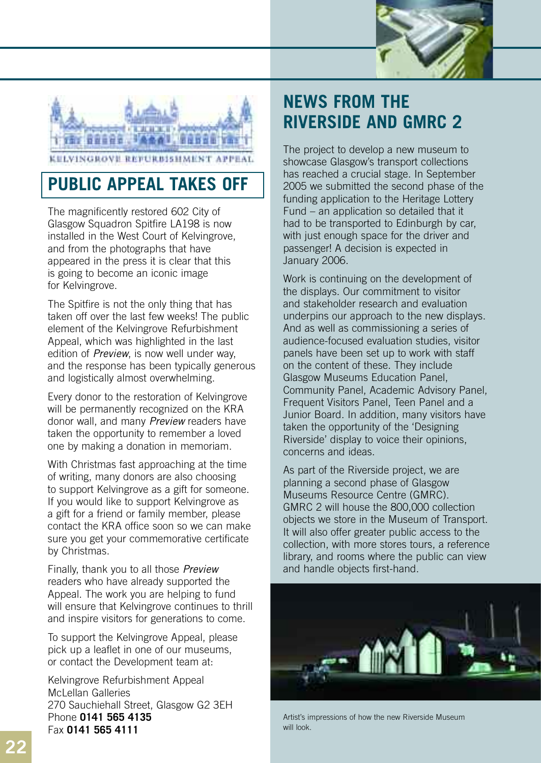



### **PUBLIC APPEAL TAKES OFF**

The magnificently restored 602 City of Glasgow Squadron Spitfire LA198 is now installed in the West Court of Kelvingrove, and from the photographs that have appeared in the press it is clear that this is going to become an iconic image for Kelvingrove.

The Spitfire is not the only thing that has taken off over the last few weeks! The public element of the Kelvingrove Refurbishment Appeal, which was highlighted in the last edition of *Preview*, is now well under way, and the response has been typically generous and logistically almost overwhelming.

Every donor to the restoration of Kelvingrove will be permanently recognized on the KRA donor wall, and many *Preview* readers have taken the opportunity to remember a loved one by making a donation in memoriam.

With Christmas fast approaching at the time of writing, many donors are also choosing to support Kelvingrove as a gift for someone. If you would like to support Kelvingrove as a gift for a friend or family member, please contact the KRA office soon so we can make sure you get your commemorative certificate by Christmas.

Finally, thank you to all those *Preview* readers who have already supported the Appeal. The work you are helping to fund will ensure that Kelvingrove continues to thrill and inspire visitors for generations to come.

To support the Kelvingrove Appeal, please pick up a leaflet in one of our museums, or contact the Development team at:

Kelvingrove Refurbishment Appeal McLellan Galleries 270 Sauchiehall Street, Glasgow G2 3EH Phone **0141 565 4135**  Fax **0141 565 4111**

# **NEWS FROM THE RIVERSIDE AND GMRC 2**

The project to develop a new museum to showcase Glasgow's transport collections has reached a crucial stage. In September 2005 we submitted the second phase of the funding application to the Heritage Lottery Fund – an application so detailed that it had to be transported to Edinburgh by car, with just enough space for the driver and passenger! A decision is expected in January 2006.

Work is continuing on the development of the displays. Our commitment to visitor and stakeholder research and evaluation underpins our approach to the new displays. And as well as commissioning a series of audience-focused evaluation studies, visitor panels have been set up to work with staff on the content of these. They include Glasgow Museums Education Panel, Community Panel, Academic Advisory Panel, Frequent Visitors Panel, Teen Panel and a Junior Board. In addition, many visitors have taken the opportunity of the 'Designing Riverside' display to voice their opinions, concerns and ideas.

As part of the Riverside project, we are planning a second phase of Glasgow Museums Resource Centre (GMRC). GMRC 2 will house the 800,000 collection objects we store in the Museum of Transport. It will also offer greater public access to the collection, with more stores tours, a reference library, and rooms where the public can view and handle objects first-hand.



Artist's impressions of how the new Riverside Museum will look.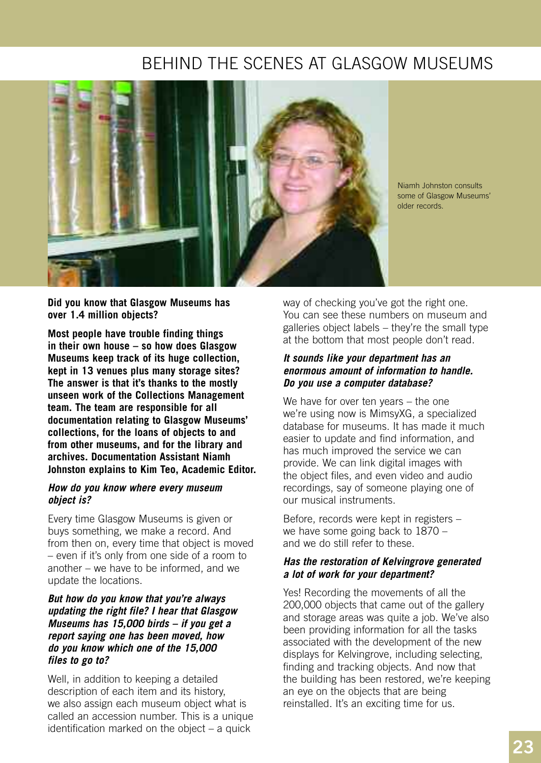### BEHIND THE SCENES AT GLASGOW MUSEUMS



Niamh Johnston consults some of Glasgow Museums' older records.

**Did you know that Glasgow Museums has over 1.4 million objects?**

**Most people have trouble finding things in their own house – so how does Glasgow Museums keep track of its huge collection, kept in 13 venues plus many storage sites? The answer is that it's thanks to the mostly unseen work of the Collections Management team. The team are responsible for all documentation relating to Glasgow Museums' collections, for the loans of objects to and from other museums, and for the library and archives. Documentation Assistant Niamh Johnston explains to Kim Teo, Academic Editor.** 

#### *How do you know where every museum object is?*

Every time Glasgow Museums is given or buys something, we make a record. And from then on, every time that object is moved – even if it's only from one side of a room to another – we have to be informed, and we update the locations.

#### *But how do you know that you're always updating the right file? I hear that Glasgow Museums has 15,000 birds – if you get a report saying one has been moved, how do you know which one of the 15,000 files to go to?*

Well, in addition to keeping a detailed description of each item and its history, we also assign each museum object what is called an accession number. This is a unique identification marked on the object – a quick

way of checking you've got the right one. You can see these numbers on museum and galleries object labels – they're the small type at the bottom that most people don't read.

#### *It sounds like your department has an enormous amount of information to handle. Do you use a computer database?*

We have for over ten years – the one we're using now is MimsyXG, a specialized database for museums. It has made it much easier to update and find information, and has much improved the service we can provide. We can link digital images with the object files, and even video and audio recordings, say of someone playing one of our musical instruments.

Before, records were kept in registers – we have some going back to 1870 – and we do still refer to these.

#### *Has the restoration of Kelvingrove generated a lot of work for your department?*

Yes! Recording the movements of all the 200,000 objects that came out of the gallery and storage areas was quite a job. We've also been providing information for all the tasks associated with the development of the new displays for Kelvingrove, including selecting, finding and tracking objects. And now that the building has been restored, we're keeping an eye on the objects that are being reinstalled. It's an exciting time for us.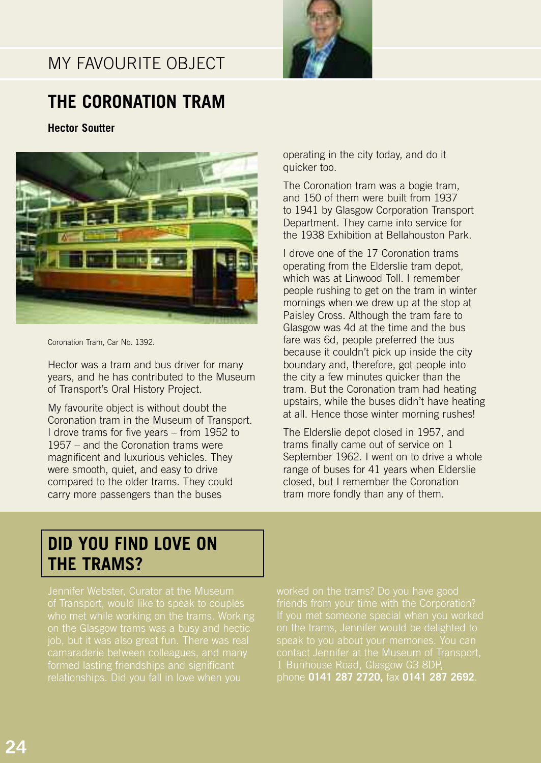### MY FAVOURITE OBJECT



### **THE CORONATION TRAM**

**Hector Soutter**



Coronation Tram, Car No. 1392.

Hector was a tram and bus driver for many years, and he has contributed to the Museum of Transport's Oral History Project.

My favourite object is without doubt the Coronation tram in the Museum of Transport. I drove trams for five years – from 1952 to 1957 – and the Coronation trams were magnificent and luxurious vehicles. They were smooth, quiet, and easy to drive compared to the older trams. They could carry more passengers than the buses

operating in the city today, and do it quicker too.

The Coronation tram was a bogie tram, and 150 of them were built from 1937 to 1941 by Glasgow Corporation Transport Department. They came into service for the 1938 Exhibition at Bellahouston Park.

I drove one of the 17 Coronation trams operating from the Elderslie tram depot, which was at Linwood Toll. I remember people rushing to get on the tram in winter mornings when we drew up at the stop at Paisley Cross. Although the tram fare to Glasgow was 4d at the time and the bus fare was 6d, people preferred the bus because it couldn't pick up inside the city boundary and, therefore, got people into the city a few minutes quicker than the tram. But the Coronation tram had heating upstairs, while the buses didn't have heating at all. Hence those winter morning rushes!

The Elderslie depot closed in 1957, and trams finally came out of service on 1 September 1962. I went on to drive a whole range of buses for 41 years when Elderslie closed, but I remember the Coronation tram more fondly than any of them.

### **DID YOU FIND LOVE ON THE TRAMS?**

on the Glasgow trams was a busy and hectic

on the trams, Jennifer would be delighted to 1 Bunhouse Road, Glasgow G3 8DP, phone **0141 287 2720,** fax **0141 287 2692**.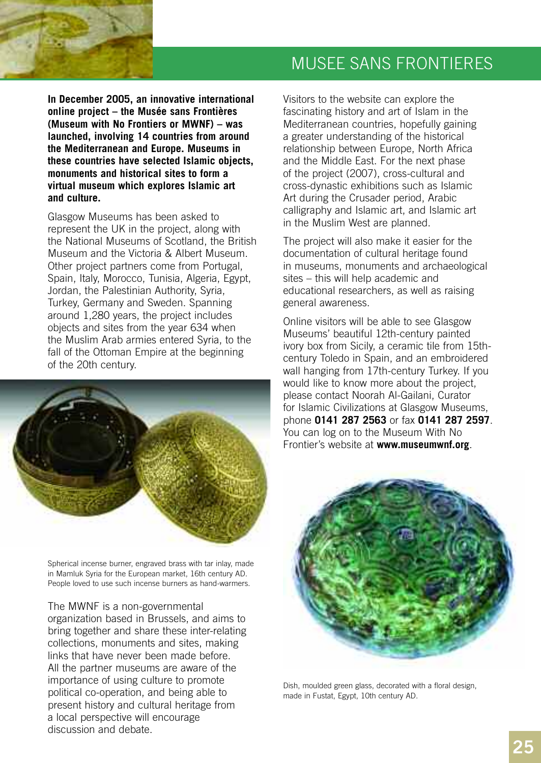

**In December 2005, an innovative international online project – the Musée sans Frontières (Museum with No Frontiers or MWNF) – was launched, involving 14 countries from around the Mediterranean and Europe. Museums in these countries have selected Islamic objects, monuments and historical sites to form a virtual museum which explores Islamic art and culture.** 

Glasgow Museums has been asked to represent the UK in the project, along with the National Museums of Scotland, the British Museum and the Victoria & Albert Museum. Other project partners come from Portugal, Spain, Italy, Morocco, Tunisia, Algeria, Egypt, Jordan, the Palestinian Authority, Syria, Turkey, Germany and Sweden. Spanning around 1,280 years, the project includes objects and sites from the year 634 when the Muslim Arab armies entered Syria, to the fall of the Ottoman Empire at the beginning of the 20th century.



Spherical incense burner, engraved brass with tar inlay, made in Mamluk Syria for the European market, 16th century AD. People loved to use such incense burners as hand-warmers.

The MWNF is a non-governmental

organization based in Brussels, and aims to bring together and share these inter-relating collections, monuments and sites, making links that have never been made before. All the partner museums are aware of the importance of using culture to promote political co-operation, and being able to present history and cultural heritage from a local perspective will encourage discussion and debate.

### MUSEE SANS FRONTIERES

Visitors to the website can explore the fascinating history and art of Islam in the Mediterranean countries, hopefully gaining a greater understanding of the historical relationship between Europe, North Africa and the Middle East. For the next phase of the project (2007), cross-cultural and cross-dynastic exhibitions such as Islamic Art during the Crusader period, Arabic calligraphy and Islamic art, and Islamic art in the Muslim West are planned.

The project will also make it easier for the documentation of cultural heritage found in museums, monuments and archaeological sites – this will help academic and educational researchers, as well as raising general awareness.

Online visitors will be able to see Glasgow Museums' beautiful 12th-century painted ivory box from Sicily, a ceramic tile from 15thcentury Toledo in Spain, and an embroidered wall hanging from 17th-century Turkey. If you would like to know more about the project, please contact Noorah Al-Gailani, Curator for Islamic Civilizations at Glasgow Museums, phone **0141 287 2563** or fax **0141 287 2597**. You can log on to the Museum With No Frontier's website at **www.museumwnf.org**.



Dish, moulded green glass, decorated with a floral design, made in Fustat, Egypt, 10th century AD.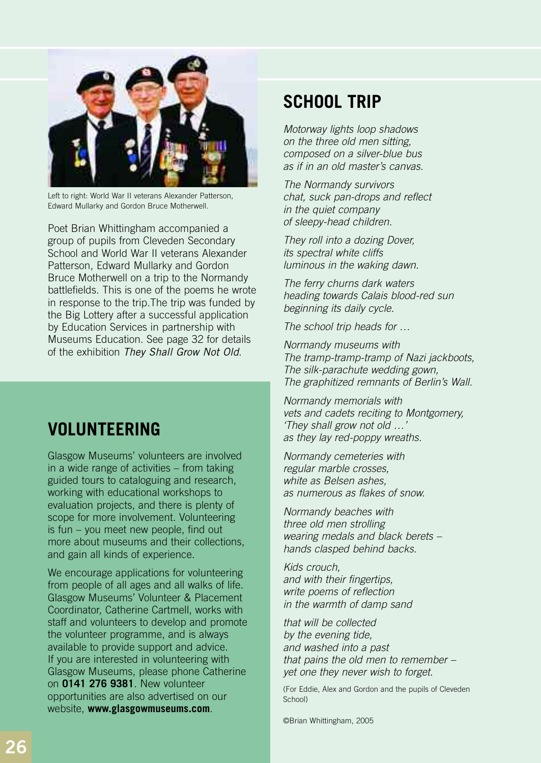

Left to right: World War II veterans Alexander Patterson, Edward Mullarky and Gordon Bruce Motherwell.

Poet Brian Whittingham accompanied a group of pupils from Cleveden Secondary School and World War II veterans Alexander Patterson, Edward Mullarky and Gordon Bruce Motherwell on a trip to the Normandy battlefields. This is one of the poems he wrote in response to the trip.The trip was funded by the Big Lottery after a successful application by Education Services in partnership with Museums Education. See page 32 for details of the exhibition *They Shall Grow Not Old*.

### **VOLUNTEERING**

Glasgow Museums' volunteers are involved in a wide range of activities – from taking guided tours to cataloguing and research, working with educational workshops to evaluation projects, and there is plenty of scope for more involvement. Volunteering is fun – you meet new people, find out more about museums and their collections, and gain all kinds of experience.

We encourage applications for volunteering from people of all ages and all walks of life. Glasgow Museums' Volunteer & Placement Coordinator, Catherine Cartmell, works with staff and volunteers to develop and promote the volunteer programme, and is always available to provide support and advice. If you are interested in volunteering with Glasgow Museums, please phone Catherine on **0141 276 9381**. New volunteer opportunities are also advertised on our website, **www.glasgowmuseums.com**.

### **SCHOOL TRIP**

*Motorway lights loop shadows on the three old men sitting, composed on a silver-blue bus as if in an old master's canvas.*

*The Normandy survivors chat, suck pan-drops and reflect in the quiet company of sleepy-head children.*

*They roll into a dozing Dover, its spectral white cliffs luminous in the waking dawn.*

*The ferry churns dark waters heading towards Calais blood-red sun beginning its daily cycle.*

*The school trip heads for …*

*Normandy museums with The tramp-tramp-tramp of Nazi jackboots, The silk-parachute wedding gown, The graphitized remnants of Berlin's Wall.*

*Normandy memorials with vets and cadets reciting to Montgomery, 'They shall grow not old …' as they lay red-poppy wreaths.*

*Normandy cemeteries with regular marble crosses, white as Belsen ashes, as numerous as flakes of snow.*

*Normandy beaches with three old men strolling wearing medals and black berets – hands clasped behind backs.*

*Kids crouch, and with their fingertips, write poems of reflection in the warmth of damp sand*

*that will be collected by the evening tide, and washed into a past that pains the old men to remember – yet one they never wish to forget.*

(For Eddie, Alex and Gordon and the pupils of Cleveden School)

©Brian Whittingham, 2005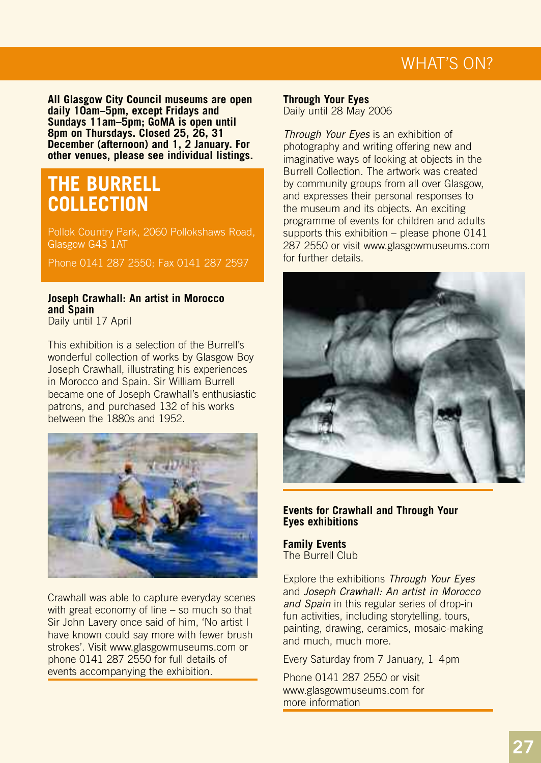**All Glasgow City Council museums are open daily 10am–5pm, except Fridays and Sundays 11am–5pm; GoMA is open until 8pm on Thursdays. Closed 25, 26, 31 December (afternoon) and 1, 2 January. For other venues, please see individual listings.**

### **THE BURRELL COLLECTION**

Pollok Country Park, 2060 Pollokshaws Road, Glasgow G43 1AT

Phone 0141 287 2550; Fax 0141 287 2597

### **Joseph Crawhall: An artist in Morocco and Spain**

Daily until 17 April

This exhibition is a selection of the Burrell's wonderful collection of works by Glasgow Boy Joseph Crawhall, illustrating his experiences in Morocco and Spain. Sir William Burrell became one of Joseph Crawhall's enthusiastic patrons, and purchased 132 of his works between the 1880s and 1952.



Crawhall was able to capture everyday scenes with great economy of line – so much so that Sir John Lavery once said of him, 'No artist I have known could say more with fewer brush strokes'. Visit www.glasgowmuseums.com or phone 0141 287 2550 for full details of events accompanying the exhibition.

**Through Your Eyes** Daily until 28 May 2006

*Through Your Eyes* is an exhibition of photography and writing offering new and imaginative ways of looking at objects in the Burrell Collection. The artwork was created by community groups from all over Glasgow, and expresses their personal responses to the museum and its objects. An exciting programme of events for children and adults supports this exhibition – please phone 0141 287 2550 or visit www.glasgowmuseums.com for further details.



#### **Events for Crawhall and Through Your Eyes exhibitions**

**Family Events** The Burrell Club

Explore the exhibitions *Through Your Eyes* and *Joseph Crawhall: An artist in Morocco and Spain* in this regular series of drop-in fun activities, including storytelling, tours, painting, drawing, ceramics, mosaic-making and much, much more.

Every Saturday from 7 January, 1–4pm

Phone 0141 287 2550 or visit www.glasgowmuseums.com for more information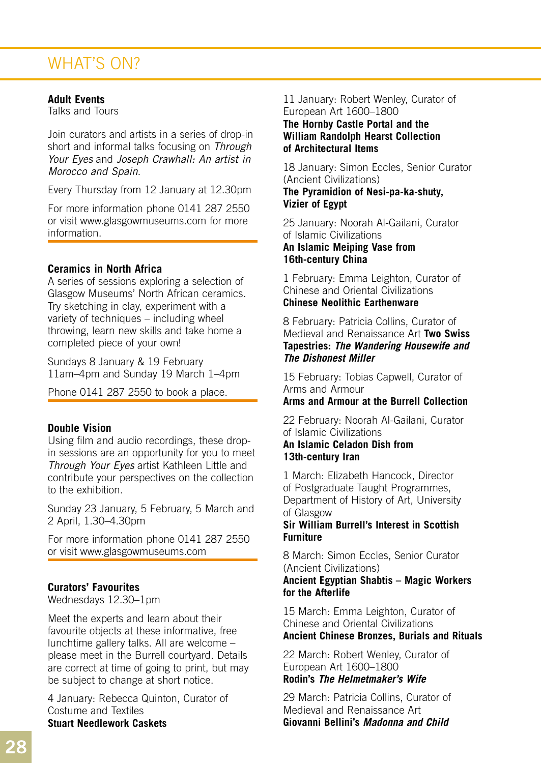#### **Adult Events**

Talks and Tours

Join curators and artists in a series of drop-in short and informal talks focusing on *Through Your Eyes* and *Joseph Crawhall: An artist in Morocco and Spain*.

Every Thursday from 12 January at 12.30pm

For more information phone 0141 287 2550 or visit www.glasgowmuseums.com for more information.

#### **Ceramics in North Africa**

A series of sessions exploring a selection of Glasgow Museums' North African ceramics. Try sketching in clay, experiment with a variety of techniques – including wheel throwing, learn new skills and take home a completed piece of your own!

Sundays 8 January & 19 February 11am–4pm and Sunday 19 March 1–4pm

Phone 0141 287 2550 to book a place.

#### **Double Vision**

Using film and audio recordings, these dropin sessions are an opportunity for you to meet *Through Your Eyes* artist Kathleen Little and contribute your perspectives on the collection to the exhibition.

Sunday 23 January, 5 February, 5 March and 2 April, 1.30–4.30pm

For more information phone 0141 287 2550 or visit www.glasgowmuseums.com

#### **Curators' Favourites**

Wednesdays 12.30–1pm

Meet the experts and learn about their favourite objects at these informative, free lunchtime gallery talks. All are welcome – please meet in the Burrell courtyard. Details are correct at time of going to print, but may be subject to change at short notice.

4 January: Rebecca Quinton, Curator of Costume and Textiles **Stuart Needlework Caskets**

#### 11 January: Robert Wenley, Curator of European Art 1600–1800

#### **The Hornby Castle Portal and the William Randolph Hearst Collection of Architectural Items**

18 January: Simon Eccles, Senior Curator (Ancient Civilizations)

**The Pyramidion of Nesi-pa-ka-shuty, Vizier of Egypt** 

25 January: Noorah Al-Gailani, Curator of Islamic Civilizations

**An Islamic Meiping Vase from 16th-century China**

1 February: Emma Leighton, Curator of Chinese and Oriental Civilizations **Chinese Neolithic Earthenware**

8 February: Patricia Collins, Curator of Medieval and Renaissance Art **Two Swiss Tapestries:** *The Wandering Housewife and The Dishonest Miller*

15 February: Tobias Capwell, Curator of Arms and Armour **Arms and Armour at the Burrell Collection** 

22 February: Noorah Al-Gailani, Curator of Islamic Civilizations **An Islamic Celadon Dish from** 

**13th-century Iran**

1 March: Elizabeth Hancock, Director of Postgraduate Taught Programmes, Department of History of Art, University of Glasgow

#### **Sir William Burrell's Interest in Scottish Furniture**

8 March: Simon Eccles, Senior Curator (Ancient Civilizations)

#### **Ancient Egyptian Shabtis – Magic Workers for the Afterlife**

15 March: Emma Leighton, Curator of Chinese and Oriental Civilizations **Ancient Chinese Bronzes, Burials and Rituals**

22 March: Robert Wenley, Curator of European Art 1600–1800

### **Rodin's** *The Helmetmaker's Wife*

29 March: Patricia Collins, Curator of Medieval and Renaissance Art **Giovanni Bellini's** *Madonna and Child*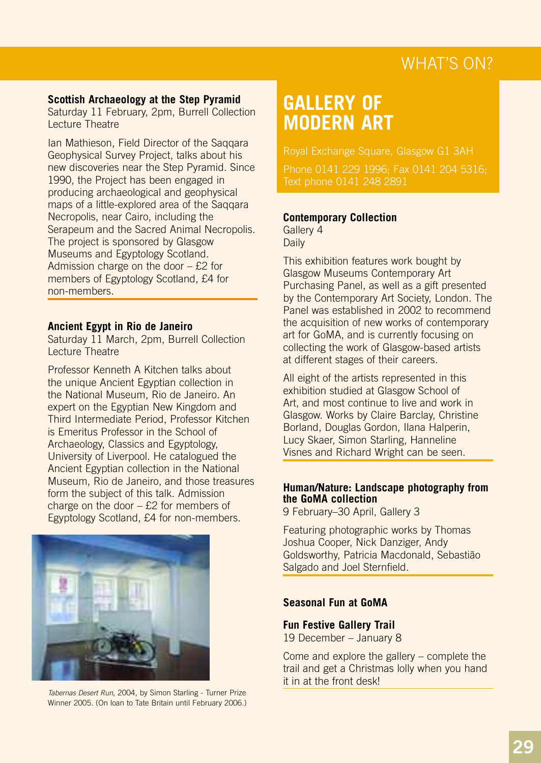#### **Scottish Archaeology at the Step Pyramid**

Saturday 11 February, 2pm, Burrell Collection Lecture Theatre

Ian Mathieson, Field Director of the Saqqara Geophysical Survey Project, talks about his new discoveries near the Step Pyramid. Since 1990, the Project has been engaged in producing archaeological and geophysical maps of a little-explored area of the Saqqara Necropolis, near Cairo, including the Serapeum and the Sacred Animal Necropolis. The project is sponsored by Glasgow Museums and Egyptology Scotland. Admission charge on the door  $-$  £2 for members of Egyptology Scotland, £4 for non-members.

#### **Ancient Egypt in Rio de Janeiro**

Saturday 11 March, 2pm, Burrell Collection Lecture Theatre

Professor Kenneth A Kitchen talks about the unique Ancient Egyptian collection in the National Museum, Rio de Janeiro. An expert on the Egyptian New Kingdom and Third Intermediate Period, Professor Kitchen is Emeritus Professor in the School of Archaeology, Classics and Egyptology, University of Liverpool. He catalogued the Ancient Egyptian collection in the National Museum, Rio de Janeiro, and those treasures form the subject of this talk. Admission charge on the door – £2 for members of Egyptology Scotland, £4 for non-members.



*Tabernas Desert Run*, 2004, by Simon Starling - Turner Prize Winner 2005. (On loan to Tate Britain until February 2006.)

# **GALLERY OF MODERN ART**

Royal Exchange Square, Glasgow G1 3AH Phone 0141 229 1996; Fax 0141 204 5316;

#### **Contemporary Collection**

Gallery 4 Daily

This exhibition features work bought by Glasgow Museums Contemporary Art Purchasing Panel, as well as a gift presented by the Contemporary Art Society, London. The Panel was established in 2002 to recommend the acquisition of new works of contemporary art for GoMA, and is currently focusing on collecting the work of Glasgow-based artists at different stages of their careers.

All eight of the artists represented in this exhibition studied at Glasgow School of Art, and most continue to live and work in Glasgow. Works by Claire Barclay, Christine Borland, Douglas Gordon, Ilana Halperin, Lucy Skaer, Simon Starling, Hanneline Visnes and Richard Wright can be seen.

#### **Human/Nature: Landscape photography from the GoMA collection**

9 February–30 April, Gallery 3

Featuring photographic works by Thomas Joshua Cooper, Nick Danziger, Andy Goldsworthy, Patricia Macdonald, Sebastião Salgado and Joel Sternfield.

#### **Seasonal Fun at GoMA**

**Fun Festive Gallery Trail** 19 December – January 8

Come and explore the gallery – complete the trail and get a Christmas lolly when you hand it in at the front desk!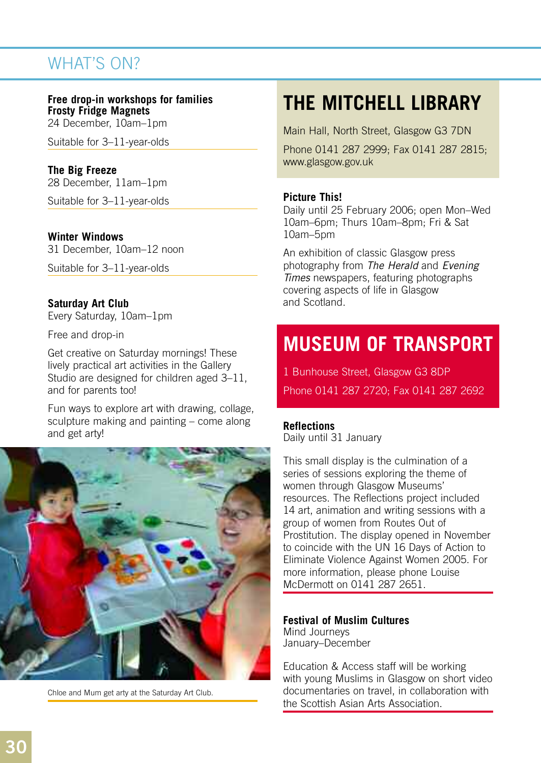#### **Free drop-in workshops for families Frosty Fridge Magnets**

24 December, 10am–1pm

Suitable for 3–11-year-olds

### **The Big Freeze**

28 December, 11am–1pm

Suitable for 3–11-year-olds

#### **Winter Windows**

31 December, 10am–12 noon

Suitable for 3–11-year-olds

#### **Saturday Art Club**

Every Saturday, 10am–1pm

Free and drop-in

Get creative on Saturday mornings! These lively practical art activities in the Gallery Studio are designed for children aged 3–11, and for parents too!

Fun ways to explore art with drawing, collage, sculpture making and painting – come along and get arty!



Chloe and Mum get arty at the Saturday Art Club.

# **THE MITCHELL LIBRARY**

Main Hall, North Street, Glasgow G3 7DN

Phone 0141 287 2999; Fax 0141 287 2815; www.glasgow.gov.uk

#### **Picture This!**

Daily until 25 February 2006; open Mon–Wed 10am–6pm; Thurs 10am–8pm; Fri & Sat 10am–5pm

An exhibition of classic Glasgow press photography from *The Herald* and *Evening Times* newspapers, featuring photographs covering aspects of life in Glasgow and Scotland.

# **MUSEUM OF TRANSPORT**

1 Bunhouse Street, Glasgow G3 8DP Phone 0141 287 2720; Fax 0141 287 2692

#### **Reflections**

Daily until 31 January

This small display is the culmination of a series of sessions exploring the theme of women through Glasgow Museums' resources. The Reflections project included 14 art, animation and writing sessions with a group of women from Routes Out of Prostitution. The display opened in November to coincide with the UN 16 Days of Action to Eliminate Violence Against Women 2005. For more information, please phone Louise McDermott on 0141 287 2651.

**Festival of Muslim Cultures** Mind Journeys January–December

Education & Access staff will be working with young Muslims in Glasgow on short video documentaries on travel, in collaboration with the Scottish Asian Arts Association.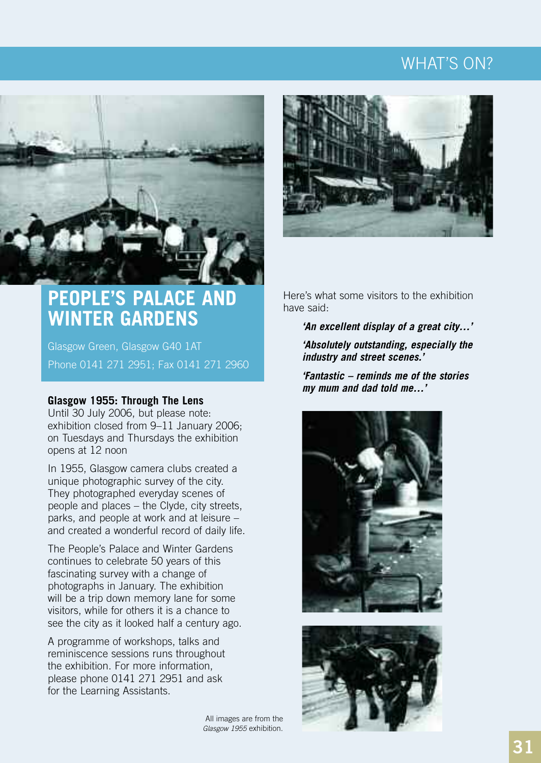

### **PEOPLE'S PALACE AND WINTER GARDENS**

Glasgow Green, Glasgow G40 1AT Phone 0141 271 2951; Fax 0141 271 2960

#### **Glasgow 1955: Through The Lens**

Until 30 July 2006, but please note: exhibition closed from 9–11 January 2006; on Tuesdays and Thursdays the exhibition opens at 12 noon

In 1955, Glasgow camera clubs created a unique photographic survey of the city. They photographed everyday scenes of people and places – the Clyde, city streets, parks, and people at work and at leisure – and created a wonderful record of daily life.

The People's Palace and Winter Gardens continues to celebrate 50 years of this fascinating survey with a change of photographs in January. The exhibition will be a trip down memory lane for some visitors, while for others it is a chance to see the city as it looked half a century ago.

A programme of workshops, talks and reminiscence sessions runs throughout the exhibition. For more information, please phone 0141 271 2951 and ask for the Learning Assistants.

Here's what some visitors to the exhibition have said:

> *'An excellent display of a great city…' 'Absolutely outstanding, especially the industry and street scenes.'*

*'Fantastic – reminds me of the stories my mum and dad told me…'*





All images are from the *Glasgow 1955* exhibition.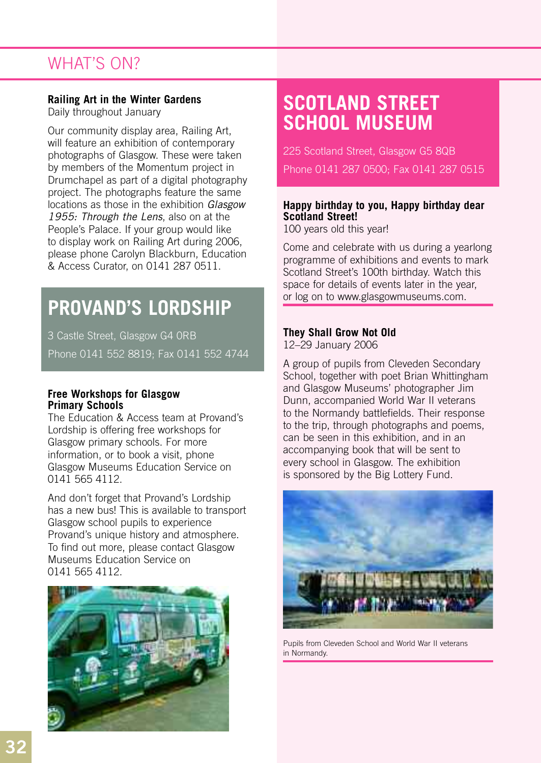#### **Railing Art in the Winter Gardens**

Daily throughout January

Our community display area, Railing Art, will feature an exhibition of contemporary photographs of Glasgow. These were taken by members of the Momentum project in Drumchapel as part of a digital photography project. The photographs feature the same locations as those in the exhibition *Glasgow 1955: Through the Lens*, also on at the People's Palace. If your group would like to display work on Railing Art during 2006, please phone Carolyn Blackburn, Education & Access Curator, on 0141 287 0511.

# **PROVAND'S LORDSHIP**

3 Castle Street, Glasgow G4 0RB Phone 0141 552 8819; Fax 0141 552 4744

#### **Free Workshops for Glasgow Primary Schools**

The Education & Access team at Provand's Lordship is offering free workshops for Glasgow primary schools. For more information, or to book a visit, phone Glasgow Museums Education Service on 0141 565 4112.

And don't forget that Provand's Lordship has a new bus! This is available to transport Glasgow school pupils to experience Provand's unique history and atmosphere. To find out more, please contact Glasgow Museums Education Service on 0141 565 4112.



# **SCOTLAND STREET SCHOOL MUSEUM**

225 Scotland Street, Glasgow G5 8QB Phone 0141 287 0500; Fax 0141 287 0515

#### **Happy birthday to you, Happy birthday dear Scotland Street!**

100 years old this year!

Come and celebrate with us during a yearlong programme of exhibitions and events to mark Scotland Street's 100th birthday. Watch this space for details of events later in the year, or log on to www.glasgowmuseums.com.

#### **They Shall Grow Not Old**

12–29 January 2006

A group of pupils from Cleveden Secondary School, together with poet Brian Whittingham and Glasgow Museums' photographer Jim Dunn, accompanied World War II veterans to the Normandy battlefields. Their response to the trip, through photographs and poems, can be seen in this exhibition, and in an accompanying book that will be sent to every school in Glasgow. The exhibition is sponsored by the Big Lottery Fund.



Pupils from Cleveden School and World War II veterans in Normandy.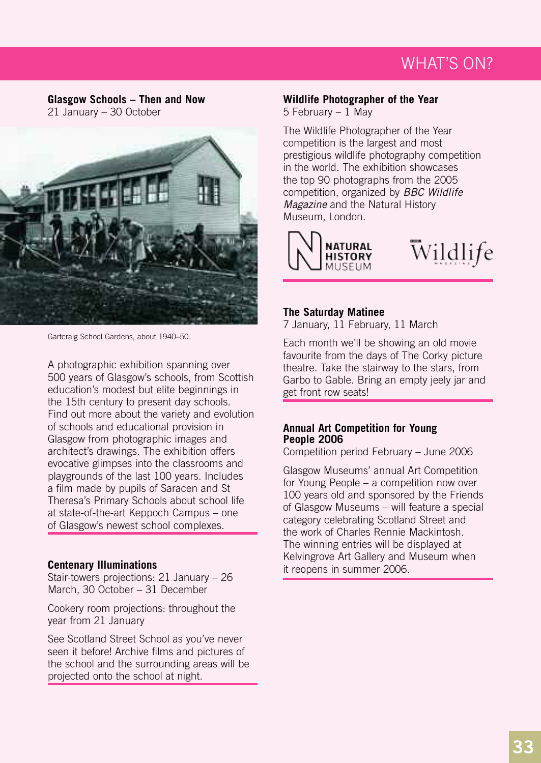**Glasgow Schools – Then and Now** 21 January – 30 October



Gartcraig School Gardens, about 1940–50.

A photographic exhibition spanning over 500 years of Glasgow's schools, from Scottish education's modest but elite beginnings in the 15th century to present day schools. Find out more about the variety and evolution of schools and educational provision in Glasgow from photographic images and architect's drawings. The exhibition offers evocative glimpses into the classrooms and playgrounds of the last 100 years. Includes a film made by pupils of Saracen and St Theresa's Primary Schools about school life at state-of-the-art Keppoch Campus – one of Glasgow's newest school complexes.

#### **Centenary Illuminations**

Stair-towers projections: 21 January – 26 March, 30 October – 31 December

Cookery room projections: throughout the year from 21 January

See Scotland Street School as you've never seen it before! Archive films and pictures of the school and the surrounding areas will be projected onto the school at night.

#### **Wildlife Photographer of the Year**

5 February – 1 May

The Wildlife Photographer of the Year competition is the largest and most prestigious wildlife photography competition in the world. The exhibition showcases the top 90 photographs from the 2005 competition, organized by *BBC Wildlife Magazine* and the Natural History Museum, London.



#### **The Saturday Matinee**

7 January, 11 February, 11 March

Each month we'll be showing an old movie favourite from the days of The Corky picture theatre. Take the stairway to the stars, from Garbo to Gable. Bring an empty jeely jar and get front row seats!

#### **Annual Art Competition for Young People 2006**

Competition period February – June 2006

Glasgow Museums' annual Art Competition for Young People – a competition now over 100 years old and sponsored by the Friends of Glasgow Museums – will feature a special category celebrating Scotland Street and the work of Charles Rennie Mackintosh. The winning entries will be displayed at Kelvingrove Art Gallery and Museum when it reopens in summer 2006.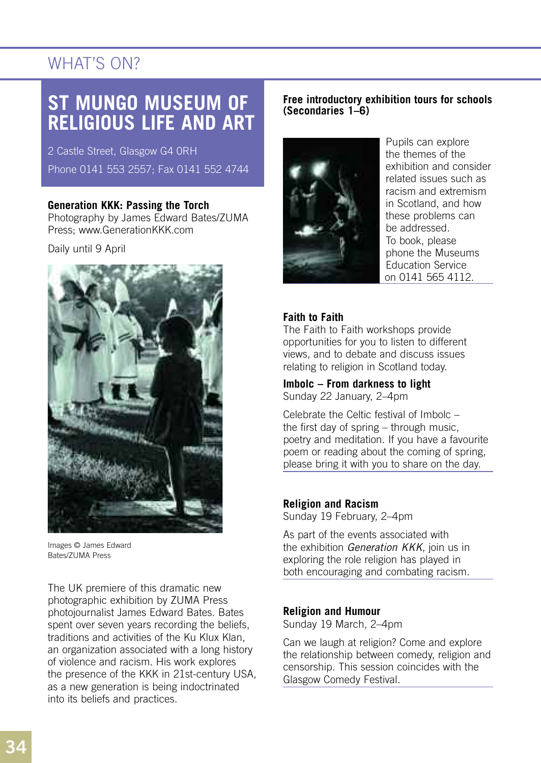### **ST MUNGO MUSEUM OF RELIGIOUS LIFE AND ART**

2 Castle Street, Glasgow G4 0RH Phone 0141 553 2557; Fax 0141 552 4744

#### **Generation KKK: Passing the Torch**

Photography by James Edward Bates/ZUMA Press; www.GenerationKKK.com

Daily until 9 April



Images © James Edward Bates/ZUMA Press

The UK premiere of this dramatic new photographic exhibition by ZUMA Press photojournalist James Edward Bates. Bates spent over seven years recording the beliefs, traditions and activities of the Ku Klux Klan, an organization associated with a long history of violence and racism. His work explores the presence of the KKK in 21st-century USA, as a new generation is being indoctrinated into its beliefs and practices.

#### **Free introductory exhibition tours for schools (Secondaries 1–6)**



Pupils can explore the themes of the exhibition and consider related issues such as racism and extremism in Scotland, and how these problems can be addressed. To book, please phone the Museums Education Service on 0141 565 4112.

### **Faith to Faith**

The Faith to Faith workshops provide opportunities for you to listen to different views, and to debate and discuss issues relating to religion in Scotland today.

**Imbolc – From darkness to light** Sunday 22 January, 2–4pm

Celebrate the Celtic festival of Imbolc – the first day of spring – through music, poetry and meditation. If you have a favourite poem or reading about the coming of spring, please bring it with you to share on the day.

### **Religion and Racism**

Sunday 19 February, 2–4pm

As part of the events associated with the exhibition *Generation KKK*, join us in exploring the role religion has played in both encouraging and combating racism.

### **Religion and Humour**

Sunday 19 March, 2–4pm

Can we laugh at religion? Come and explore the relationship between comedy, religion and censorship. This session coincides with the Glasgow Comedy Festival.